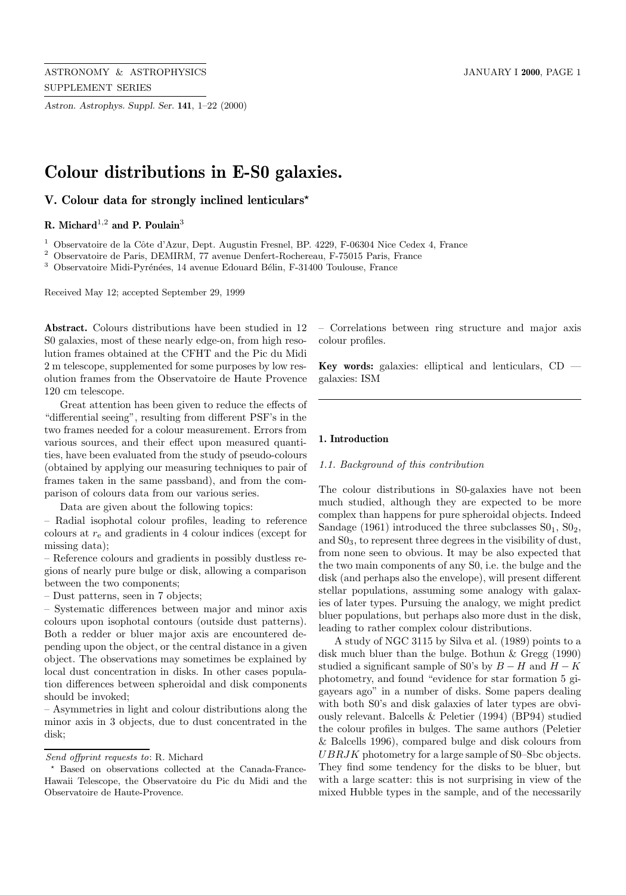*Astron. Astrophys. Suppl. Ser.* **141**, 1–22 (2000)

# **Colour distributions in E-S0 galaxies.**

# **V. Colour data for strongly inclined lenticulars**?

# **R. Michard**<sup>1</sup>,<sup>2</sup> **and P. Poulain**<sup>3</sup>

 $^{\rm 1}$  Observatoire de la Côte d'Azur, Dept. Augustin Fresnel, BP. 4229, F-06304 Nice Cedex 4, France

<sup>2</sup> Observatoire de Paris, DEMIRM, 77 avenue Denfert-Rochereau, F-75015 Paris, France

<sup>3</sup> Observatoire Midi-Pyrénées, 14 avenue Edouard Bélin, F-31400 Toulouse, France

Received May 12; accepted September 29, 1999

**Abstract.** Colours distributions have been studied in 12 S0 galaxies, most of these nearly edge-on, from high resolution frames obtained at the CFHT and the Pic du Midi 2 m telescope, supplemented for some purposes by low resolution frames from the Observatoire de Haute Provence 120 cm telescope.

Great attention has been given to reduce the effects of "differential seeing", resulting from different PSF's in the two frames needed for a colour measurement. Errors from various sources, and their effect upon measured quantities, have been evaluated from the study of pseudo-colours (obtained by applying our measuring techniques to pair of frames taken in the same passband), and from the comparison of colours data from our various series.

Data are given about the following topics:

– Radial isophotal colour profiles, leading to reference colours at  $r_{e}$  and gradients in 4 colour indices (except for missing data);

– Reference colours and gradients in possibly dustless regions of nearly pure bulge or disk, allowing a comparison between the two components;

– Dust patterns, seen in 7 objects;

– Systematic differences between major and minor axis colours upon isophotal contours (outside dust patterns). Both a redder or bluer major axis are encountered depending upon the object, or the central distance in a given object. The observations may sometimes be explained by local dust concentration in disks. In other cases population differences between spheroidal and disk components should be invoked;

– Asymmetries in light and colour distributions along the minor axis in 3 objects, due to dust concentrated in the disk;

– Correlations between ring structure and major axis colour profiles.

**Key words:** galaxies: elliptical and lenticulars, CD galaxies: ISM

# **1. Introduction**

#### 1.1. Background of this contribution

The colour distributions in S0-galaxies have not been much studied, although they are expected to be more complex than happens for pure spheroidal objects. Indeed Sandage (1961) introduced the three subclasses  $S_01$ ,  $S_2$ , and S03, to represent three degrees in the visibility of dust, from none seen to obvious. It may be also expected that the two main components of any S0, i.e. the bulge and the disk (and perhaps also the envelope), will present different stellar populations, assuming some analogy with galaxies of later types. Pursuing the analogy, we might predict bluer populations, but perhaps also more dust in the disk, leading to rather complex colour distributions.

A study of NGC 3115 by Silva et al. (1989) points to a disk much bluer than the bulge. Bothun & Gregg (1990) studied a significant sample of S0's by  $B - H$  and  $H - K$ photometry, and found "evidence for star formation 5 gigayears ago" in a number of disks. Some papers dealing with both S0's and disk galaxies of later types are obviously relevant. Balcells & Peletier (1994) (BP94) studied the colour profiles in bulges. The same authors (Peletier & Balcells 1996), compared bulge and disk colours from UBRJK photometry for a large sample of S0–Sbc objects. They find some tendency for the disks to be bluer, but with a large scatter: this is not surprising in view of the mixed Hubble types in the sample, and of the necessarily

Send offprint requests to: R. Michard

Based on observations collected at the Canada-France-Hawaii Telescope, the Observatoire du Pic du Midi and the Observatoire de Haute-Provence.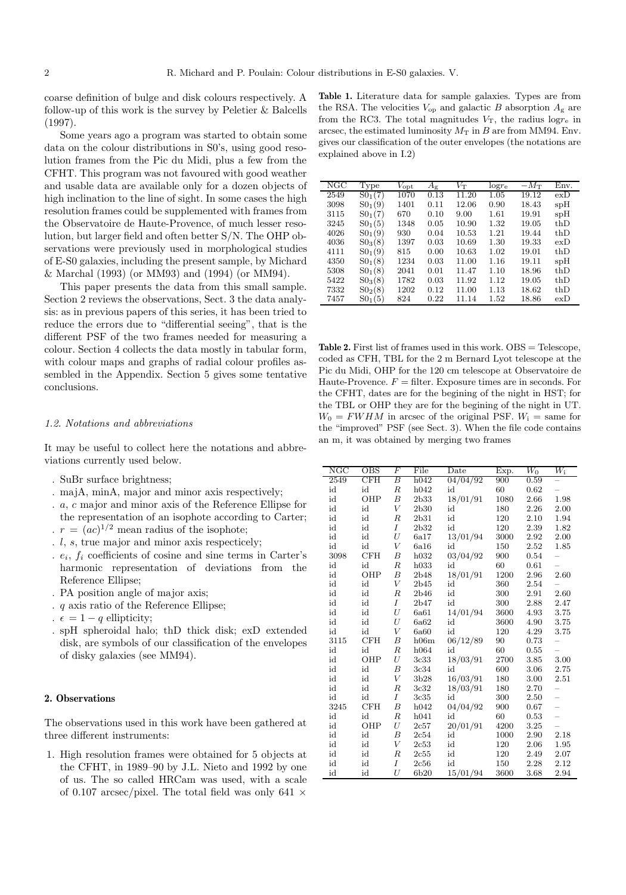coarse definition of bulge and disk colours respectively. A follow-up of this work is the survey by Peletier & Balcells (1997).

Some years ago a program was started to obtain some data on the colour distributions in S0's, using good resolution frames from the Pic du Midi, plus a few from the CFHT. This program was not favoured with good weather and usable data are available only for a dozen objects of high inclination to the line of sight. In some cases the high resolution frames could be supplemented with frames from the Observatoire de Haute-Provence, of much lesser resolution, but larger field and often better S/N. The OHP observations were previously used in morphological studies of E-S0 galaxies, including the present sample, by Michard & Marchal (1993) (or MM93) and (1994) (or MM94).

This paper presents the data from this small sample. Section 2 reviews the observations, Sect. 3 the data analysis: as in previous papers of this series, it has been tried to reduce the errors due to "differential seeing", that is the different PSF of the two frames needed for measuring a colour. Section 4 collects the data mostly in tabular form, with colour maps and graphs of radial colour profiles assembled in the Appendix. Section 5 gives some tentative conclusions.

#### 1.2. Notations and abbreviations

It may be useful to collect here the notations and abbreviations currently used below.

- . SuBr surface brightness;
- . majA, minA, major and minor axis respectively;
- . a, c major and minor axis of the Reference Ellipse for the representation of an isophote according to Carter; .  $r = (ac)^{1/2}$  mean radius of the isophote;
- 
- . l, s, true major and minor axis respecticely;
- $e_i, f_i$  coefficients of cosine and sine terms in Carter's harmonic representation of deviations from the Reference Ellipse;
- . PA position angle of major axis;
- . q axis ratio of the Reference Ellipse;
- .  $\epsilon = 1 q$  ellipticity;
- . spH spheroidal halo; thD thick disk; exD extended disk, are symbols of our classification of the envelopes of disky galaxies (see MM94).

# **2. Observations**

The observations used in this work have been gathered at three different instruments:

1. High resolution frames were obtained for 5 objects at the CFHT, in 1989–90 by J.L. Nieto and 1992 by one of us. The so called HRCam was used, with a scale of 0.107 arcsec/pixel. The total field was only 641  $\times$ 

**Table 1.** Literature data for sample galaxies. Types are from the RSA. The velocities  $V_{op}$  and galactic B absorption  $A_g$  are from the RC3. The total magnitudes  $V_T$ , the radius log<sub>re</sub> in arcsec, the estimated luminosity  $M_T$  in B are from MM94. Env. gives our classification of the outer envelopes (the notations are explained above in I.2)

| NGC  | Type        | $V_{\rm opt}$ | $A_{\rm g}$ | $V_{\rm T}$ | $log r_e$ | $-M_{\rm T}$ | Env.             |
|------|-------------|---------------|-------------|-------------|-----------|--------------|------------------|
| 2549 | $S0_1(7)$   | 1070          | 0.13        | 11.20       | 1.05      | 19.12        | $ex\overline{D}$ |
| 3098 | $S_{01}(9)$ | 1401          | 0.11        | 12.06       | 0.90      | 18.43        | spH              |
| 3115 | $SO_1(7)$   | 670           | 0.10        | 9.00        | 1.61      | 19.91        | spH              |
| 3245 | $SO_1(5)$   | 1348          | 0.05        | 10.90       | 1.32      | 19.05        | thD              |
| 4026 | $SO_1(9)$   | 930           | 0.04        | 10.53       | 1.21      | 19.44        | thD              |
| 4036 | $S0_3(8)$   | 1397          | 0.03        | 10.69       | 1.30      | 19.33        | exD              |
| 4111 | $S_{01}(9)$ | 815           | 0.00        | 10.63       | 1.02      | 19.01        | thD              |
| 4350 | $SO_1(8)$   | 1234          | 0.03        | 11.00       | 1.16      | 19.11        | $s$ p $H$        |
| 5308 | $SO_1(8)$   | 2041          | 0.01        | 11.47       | 1.10      | 18.96        | thD              |
| 5422 | $S0_3(8)$   | 1782          | 0.03        | 11.92       | 1.12      | 19.05        | thD              |
| 7332 | $S_{02}(8)$ | 1202          | 0.12        | 11.00       | 1.13      | 18.62        | thD              |
| 7457 | $S_{01}(5)$ | 824           | 0.22        | 11.14       | 1.52      | 18.86        | exD              |
|      |             |               |             |             |           |              |                  |

Table 2. First list of frames used in this work. OBS = Telescope, coded as CFH, TBL for the 2 m Bernard Lyot telescope at the Pic du Midi, OHP for the 120 cm telescope at Observatoire de Haute-Provence.  $F =$  filter. Exposure times are in seconds. For the CFHT, dates are for the begining of the night in HST; for the TBL or OHP they are for the begining of the night in UT.  $W_0 = FWHM$  in arcsec of the original PSF.  $W_i$  = same for the "improved" PSF (see Sect. 3). When the file code contains an m, it was obtained by merging two frames

| NGC  | <b>OBS</b> | $_{\it F}$       | File | $\overline{\text{Date}}$ | Exp. | $\overline{W_0}$ | $W_{\rm i}$              |
|------|------------|------------------|------|--------------------------|------|------------------|--------------------------|
| 2549 | CFH        | $\overline{B}$   | h042 | 04/04/92                 | 900  | 0.59             |                          |
| id   | id         | $_{R}$           | h042 | id                       | 60   | 0.62             |                          |
| id   | OHP        | B                | 2b33 | 18/01/91                 | 1080 | 2.66             | 1.98                     |
| id   | id         | $\bar{V}$        | 2b30 | id                       | 180  | 2.26             | 2.00                     |
| id   | id         | $_{\it R}$       | 2b31 | id                       | 120  | 2.10             | 1.94                     |
| id   | id         | I                | 2b32 | id                       | 120  | 2.39             | 1.82                     |
| id   | id         | U                | 6a17 | 13/01/94                 | 3000 | 2.92             | 2.00                     |
| id   | id         | V                | 6a16 | id                       | 150  | 2.52             | 1.85                     |
| 3098 | CFH        | B                | h032 | 03/04/92                 | 900  | 0.54             | -                        |
| id   | id         | $\boldsymbol{R}$ | h033 | id                       | 60   | 0.61             |                          |
| id   | OHP        | $\boldsymbol{B}$ | 2b48 | 18/01/91                 | 1200 | 2.96             | 2.60                     |
| id   | id         | V                | 2b45 | id                       | 360  | 2.54             |                          |
| id   | id         | $\boldsymbol{R}$ | 2b46 | id                       | 300  | 2.91             | 2.60                     |
| id   | id         | Ι                | 2b47 | id                       | 300  | 2.88             | 2.47                     |
| id   | id         | U                | 6a61 | 14/01/94                 | 3600 | 4.93             | 3.75                     |
| id   | id         | U                | 6a62 | id                       | 3600 | 4.90             | 3.75                     |
| id   | id         | $\bar{V}$        | 6a60 | id                       | 120  | 4.29             | 3.75                     |
| 3115 | CFH        | В                | h06m | 06/12/89                 | 90   | 0.73             | -                        |
| id   | id         | R                | h064 | id                       | 60   | 0.55             |                          |
| id   | OHP        | U                | 3c33 | 18/03/91                 | 2700 | 3.85             | 3.00                     |
| id   | id         | $\boldsymbol{B}$ | 3c34 | id                       | 600  | 3.06             | 2.75                     |
| id   | id         | V                | 3b28 | 16/03/91                 | 180  | 3.00             | 2.51                     |
| id   | id         | $\boldsymbol{R}$ | 3c32 | 18/03/91                 | 180  | 2.70             | $\overline{\phantom{0}}$ |
| id   | id         | I                | 3c35 | id                       | 300  | 2.50             | $\overline{a}$           |
| 3245 | CFH        | B                | h042 | 04/04/92                 | 900  | 0.67             | $\overline{a}$           |
| id   | id         | $\boldsymbol{R}$ | h041 | id                       | 60   | 0.53             | $\equiv$                 |
| id   | OHP        | U                | 2c57 | 20/01/91                 | 4200 | 3.25             | $\overline{a}$           |
| id   | id         | В                | 2c54 | id                       | 1000 | 2.90             | 2.18                     |
| id   | id         | V                | 2c53 | id                       | 120  | 2.06             | 1.95                     |
| id   | id         | $_{R}$           | 2c55 | id                       | 120  | 2.49             | 2.07                     |
| id   | id         | Ι                | 2c56 | id                       | 150  | 2.28             | 2.12                     |
| id   | id         | U                | 6b20 | 15/01/94                 | 3600 | 3.68             | 2.94                     |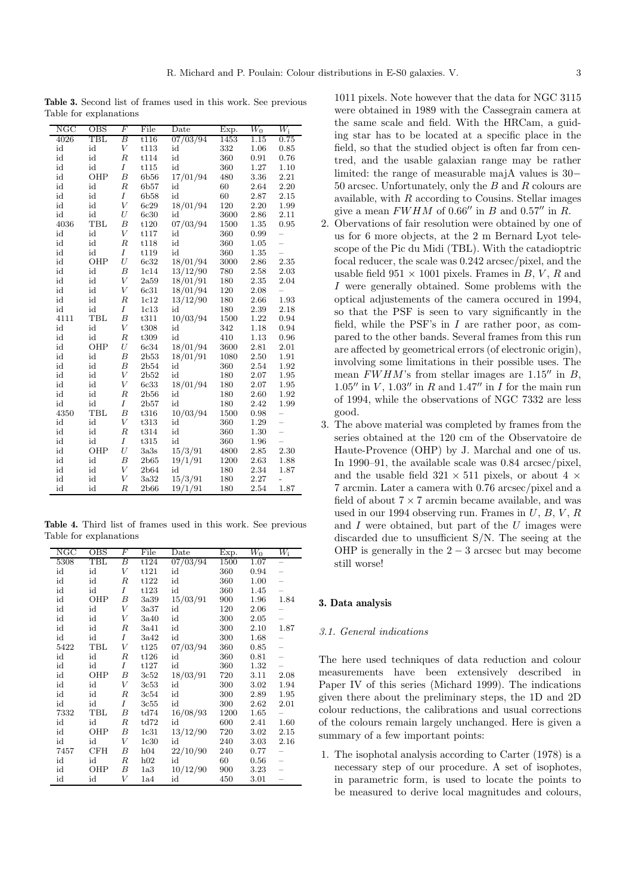**Table 3.** Second list of frames used in this work. See previous Table for explanations

| NGC  | OBS          | $_{\it F}$       | File | Date     | Exp. | $\overline{W_0}$ | $W_{\rm i}$              |
|------|--------------|------------------|------|----------|------|------------------|--------------------------|
| 4026 | $_{\rm TBL}$ | В                | t116 | 07/03/94 | 1453 | 1.15             | 0.75                     |
| id   | id           | V                | t113 | id       | 332  | 1.06             | 0.85                     |
| id   | id           | $\boldsymbol{R}$ | t114 | id       | 360  | 0.91             | 0.76                     |
| id   | id           | $\overline{I}$   | t115 | id       | 360  | 1.27             | 1.10                     |
| id   | OHP          | $\boldsymbol{B}$ | 6b56 | 17/01/94 | 480  | 3.36             | 2.21                     |
| id   | id           | $\boldsymbol{R}$ | 6b57 | id       | 60   | 2.64             | 2.20                     |
| id   | id           | I                | 6b58 | id       | 60   | 2.87             | 2.15                     |
| id   | id           | V                | 6c29 | 18/01/94 | 120  | 2.20             | 1.99                     |
| id   | id           | U                | 6c30 | id       | 3600 | 2.86             | 2.11                     |
| 4036 | TBL          | $\boldsymbol{B}$ | t120 | 07/03/94 | 1500 | 1.35             | 0.95                     |
| id   | id           | $\boldsymbol{V}$ | t117 | id       | 360  | 0.99             | $\overline{\phantom{0}}$ |
| id   | id           | $\boldsymbol{R}$ | t118 | id       | 360  | 1.05             | $\overline{a}$           |
| id   | id           | $\overline{I}$   | t119 | id       | 360  | 1.35             |                          |
| id   | OHP          | U                | 6c32 | 18/01/94 | 3000 | 2.86             | 2.35                     |
| id   | id           | $\boldsymbol{B}$ | 1c14 | 13/12/90 | 780  | 2.58             | 2.03                     |
| id   | id           | V                | 2a59 | 18/01/91 | 180  | 2.35             | 2.04                     |
| id   | id           | V                | 6c31 | 18/01/94 | 120  | 2.08             |                          |
| id   | id           | $_{R}$           | 1c12 | 13/12/90 | 180  | 2.66             | 1.93                     |
| id   | id           | Ι                | 1c13 | id       | 180  | 2.39             | 2.18                     |
| 4111 | TBL          | $\boldsymbol{B}$ | t311 | 10/03/94 | 1500 | 1.22             | 0.94                     |
| id   | id           | $\bar{V}$        | t308 | id       | 342  | 1.18             | 0.94                     |
| id   | id           | $\boldsymbol{R}$ | t309 | id       | 410  | 1.13             | 0.96                     |
| id   | OHP          | $\boldsymbol{U}$ | 6c34 | 18/01/94 | 3600 | 2.81             | 2.01                     |
| id   | id           | $\boldsymbol{B}$ | 2b53 | 18/01/91 | 1080 | 2.50             | 1.91                     |
| id   | id           | $\boldsymbol{B}$ | 2b54 | id       | 360  | 2.54             | 1.92                     |
| id   | id           | $\bar{V}$        | 2b52 | id       | 180  | 2.07             | 1.95                     |
| id   | id           | V                | 6c33 | 18/01/94 | 180  | 2.07             | 1.95                     |
| id   | id           | $\boldsymbol{R}$ | 2b56 | id       | 180  | 2.60             | 1.92                     |
| id   | id           | I                | 2b57 | id       | 180  | 2.42             | 1.99                     |
| 4350 | TBL          | $\boldsymbol{B}$ | t316 | 10/03/94 | 1500 | 0.98             | -                        |
| id   | id           | V                | t313 | id       | 360  | 1.29             | $\overline{a}$           |
| id   | id           | $\boldsymbol{R}$ | t314 | id       | 360  | 1.30             | $\overline{a}$           |
| id   | id           | I                | t315 | id       | 360  | 1.96             | $\overline{a}$           |
| id   | OHP          | U                | 3a3s | 15/3/91  | 4800 | 2.85             | 2.30                     |
| id   | id           | В                | 2b65 | 19/1/91  | 1200 | 2.63             | 1.88                     |
| id   | id           | V                | 2b64 | id       | 180  | 2.34             | 1.87                     |
| id   | id           | $\boldsymbol{V}$ | 3a32 | 15/3/91  | 180  | 2.27             | $\overline{\phantom{0}}$ |
| id   | id           | R                | 2b66 | 19/1/91  | 180  | 2.54             | 1.87                     |

**Table 4.** Third list of frames used in this work. See previous Table for explanations

| NGC  | OBS                  | $\overline F$ | File | $_{\text{Date}}$ | Exp. | $W_0$ | $W_{\rm i}$ |
|------|----------------------|---------------|------|------------------|------|-------|-------------|
| 5308 | $\operatorname{TBL}$ | В             | t124 | 07/03/94         | 1500 | 1.07  |             |
| id   | id                   | V             | t121 | id               | 360  | 0.94  |             |
| id   | id                   | $_{R}$        | t122 | id               | 360  | 1.00  |             |
| id   | id                   | I             | t123 | id               | 360  | 1.45  |             |
| id   | OHP                  | В             | 3a39 | 15/03/91         | 900  | 1.96  | 1.84        |
| id   | id                   | V             | 3a37 | id               | 120  | 2.06  |             |
| id   | id                   | V             | 3a40 | id               | 300  | 2.05  |             |
| id   | id                   | R             | 3a41 | id               | 300  | 2.10  | 1.87        |
| id   | id                   | Ι             | 3a42 | id               | 300  | 1.68  |             |
| 5422 | TBL                  | V             | t125 | 07/03/94         | 360  | 0.85  |             |
| id   | id                   | $_{R}$        | t126 | id               | 360  | 0.81  |             |
| id   | id                   | Ι             | t127 | id               | 360  | 1.32  |             |
| id   | OHP                  | В             | 3c52 | 18/03/91         | 720  | 3.11  | 2.08        |
| id   | id                   | V             | 3c53 | id               | 300  | 3.02  | 1.94        |
| id   | id                   | $_{R}$        | 3c54 | id               | 300  | 2.89  | 1.95        |
| id   | id                   | I             | 3c55 | id               | 300  | 2.62  | 2.01        |
| 7332 | TBL                  | В             | td74 | 16/08/93         | 1200 | 1.65  |             |
| id   | id                   | $_{R}$        | td72 | id               | 600  | 2.41  | 1.60        |
| id   | OHP                  | В             | 1c31 | 13/12/90         | 720  | 3.02  | 2.15        |
| id   | id                   | V             | 1c30 | id               | 240  | 3.03  | 2.16        |
| 7457 | CFH                  | В             | h04  | 22/10/90         | 240  | 0.77  |             |
| id   | id                   | R             | h02  | id               | 60   | 0.56  |             |
| id   | OHP                  | В             | 1a3  | 10/12/90         | 900  | 3.23  |             |
| id   | id                   | V             | 1a4  | id               | 450  | 3.01  |             |

1011 pixels. Note however that the data for NGC 3115 were obtained in 1989 with the Cassegrain camera at the same scale and field. With the HRCam, a guiding star has to be located at a specific place in the field, so that the studied object is often far from centred, and the usable galaxian range may be rather limited: the range of measurable majA values is 30− 50 arcsec. Unfortunately, only the B and R colours are available, with  $R$  according to Cousins. Stellar images give a mean  $FWHM$  of 0.66" in B and 0.57" in R.

- 2. Obervations of fair resolution were obtained by one of us for 6 more objects, at the 2 m Bernard Lyot telescope of the Pic du Midi (TBL). With the catadioptric focal reducer, the scale was 0.242 arcsec/pixel, and the usable field  $951 \times 1001$  pixels. Frames in B, V, R and I were generally obtained. Some problems with the optical adjustements of the camera occured in 1994, so that the PSF is seen to vary significantly in the field, while the PSF's in  $I$  are rather poor, as compared to the other bands. Several frames from this run are affected by geometrical errors (of electronic origin), involving some limitations in their possible uses. The mean  $FWHM$ 's from stellar images are  $1.15''$  in B, 1.05" in  $V$ , 1.03" in R and 1.47" in I for the main run of 1994, while the observations of NGC 7332 are less good.
- 3. The above material was completed by frames from the series obtained at the 120 cm of the Observatoire de Haute-Provence (OHP) by J. Marchal and one of us. In 1990–91, the available scale was 0.84 arcsec/pixel, and the usable field  $321 \times 511$  pixels, or about 4  $\times$ 7 arcmin. Later a camera with 0.76 arcsec/pixel and a field of about  $7 \times 7$  arcmin became available, and was used in our 1994 observing run. Frames in  $U, B, V, R$ and  $I$  were obtained, but part of the  $U$  images were discarded due to unsufficient S/N. The seeing at the OHP is generally in the  $2-3$  arcsec but may become still worse!

# **3. Data analysis**

# 3.1. General indications

The here used techniques of data reduction and colour measurements have been extensively described in Paper IV of this series (Michard 1999). The indications given there about the preliminary steps, the 1D and 2D colour reductions, the calibrations and usual corrections of the colours remain largely unchanged. Here is given a summary of a few important points:

1. The isophotal analysis according to Carter (1978) is a necessary step of our procedure. A set of isophotes, in parametric form, is used to locate the points to be measured to derive local magnitudes and colours,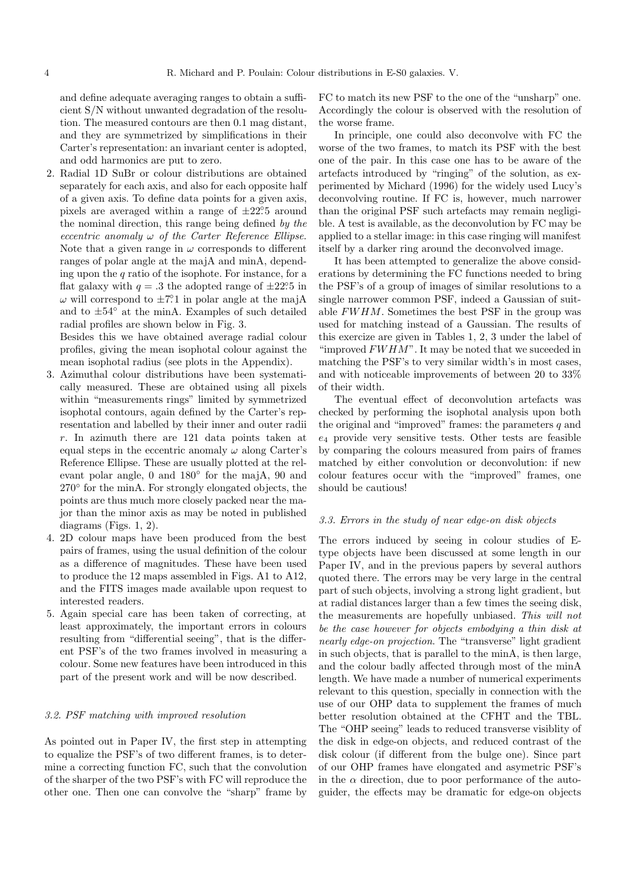and define adequate averaging ranges to obtain a sufficient S/N without unwanted degradation of the resolution. The measured contours are then 0.1 mag distant, and they are symmetrized by simplifications in their Carter's representation: an invariant center is adopted, and odd harmonics are put to zero.

2. Radial 1D SuBr or colour distributions are obtained separately for each axis, and also for each opposite half of a given axis. To define data points for a given axis, pixels are averaged within a range of  $\pm 22^\circ$ . around the nominal direction, this range being defined by the eccentric anomaly  $\omega$  of the Carter Reference Ellipse. Note that a given range in  $\omega$  corresponds to different ranges of polar angle at the majA and minA, depending upon the  $q$  ratio of the isophote. For instance, for a flat galaxy with  $q = .3$  the adopted range of  $\pm 22.5$  in  $\omega$  will correspond to  $\pm 7^\circ 1$  in polar angle at the majA and to  $\pm 54^\circ$  at the minA. Examples of such detailed radial profiles are shown below in Fig. 3.

Besides this we have obtained average radial colour profiles, giving the mean isophotal colour against the mean isophotal radius (see plots in the Appendix).

- 3. Azimuthal colour distributions have been systematically measured. These are obtained using all pixels within "measurements rings" limited by symmetrized isophotal contours, again defined by the Carter's representation and labelled by their inner and outer radii r. In azimuth there are 121 data points taken at equal steps in the eccentric anomaly  $\omega$  along Carter's Reference Ellipse. These are usually plotted at the relevant polar angle, 0 and 180◦ for the majA, 90 and 270<sup>°</sup> for the minA. For strongly elongated objects, the points are thus much more closely packed near the major than the minor axis as may be noted in published diagrams (Figs. 1, 2).
- 4. 2D colour maps have been produced from the best pairs of frames, using the usual definition of the colour as a difference of magnitudes. These have been used to produce the 12 maps assembled in Figs. A1 to A12, and the FITS images made available upon request to interested readers.
- 5. Again special care has been taken of correcting, at least approximately, the important errors in colours resulting from "differential seeing", that is the different PSF's of the two frames involved in measuring a colour. Some new features have been introduced in this part of the present work and will be now described.

### 3.2. PSF matching with improved resolution

As pointed out in Paper IV, the first step in attempting to equalize the PSF's of two different frames, is to determine a correcting function FC, such that the convolution of the sharper of the two PSF's with FC will reproduce the other one. Then one can convolve the "sharp" frame by

FC to match its new PSF to the one of the "unsharp" one. Accordingly the colour is observed with the resolution of the worse frame.

In principle, one could also deconvolve with FC the worse of the two frames, to match its PSF with the best one of the pair. In this case one has to be aware of the artefacts introduced by "ringing" of the solution, as experimented by Michard (1996) for the widely used Lucy's deconvolving routine. If FC is, however, much narrower than the original PSF such artefacts may remain negligible. A test is available, as the deconvolution by FC may be applied to a stellar image: in this case ringing will manifest itself by a darker ring around the deconvolved image.

It has been attempted to generalize the above considerations by determining the FC functions needed to bring the PSF's of a group of images of similar resolutions to a single narrower common PSF, indeed a Gaussian of suitable FWHM. Sometimes the best PSF in the group was used for matching instead of a Gaussian. The results of this exercize are given in Tables 1, 2, 3 under the label of "improved  $FWHM$ ". It may be noted that we suceeded in matching the PSF's to very similar width's in most cases, and with noticeable improvements of between 20 to 33% of their width.

The eventual effect of deconvolution artefacts was checked by performing the isophotal analysis upon both the original and "improved" frames: the parameters  $q$  and  $e_4$  provide very sensitive tests. Other tests are feasible by comparing the colours measured from pairs of frames matched by either convolution or deconvolution: if new colour features occur with the "improved" frames, one should be cautious!

# 3.3. Errors in the study of near edge-on disk objects

The errors induced by seeing in colour studies of Etype objects have been discussed at some length in our Paper IV, and in the previous papers by several authors quoted there. The errors may be very large in the central part of such objects, involving a strong light gradient, but at radial distances larger than a few times the seeing disk, the measurements are hopefully unbiased. This will not be the case however for objects embodying a thin disk at nearly edge-on projection. The "transverse" light gradient in such objects, that is parallel to the minA, is then large, and the colour badly affected through most of the minA length. We have made a number of numerical experiments relevant to this question, specially in connection with the use of our OHP data to supplement the frames of much better resolution obtained at the CFHT and the TBL. The "OHP seeing" leads to reduced transverse visiblity of the disk in edge-on objects, and reduced contrast of the disk colour (if different from the bulge one). Since part of our OHP frames have elongated and asymetric PSF's in the  $\alpha$  direction, due to poor performance of the autoguider, the effects may be dramatic for edge-on objects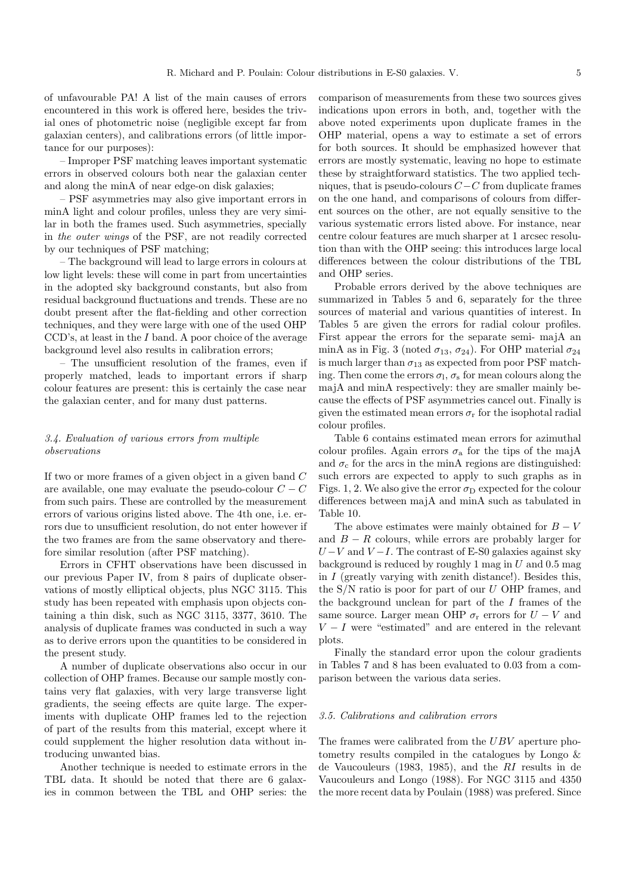of unfavourable PA! A list of the main causes of errors encountered in this work is offered here, besides the trivial ones of photometric noise (negligible except far from galaxian centers), and calibrations errors (of little importance for our purposes):

– Improper PSF matching leaves important systematic errors in observed colours both near the galaxian center and along the minA of near edge-on disk galaxies;

– PSF asymmetries may also give important errors in minA light and colour profiles, unless they are very similar in both the frames used. Such asymmetries, specially in the outer wings of the PSF, are not readily corrected by our techniques of PSF matching;

– The background will lead to large errors in colours at low light levels: these will come in part from uncertainties in the adopted sky background constants, but also from residual background fluctuations and trends. These are no doubt present after the flat-fielding and other correction techniques, and they were large with one of the used OHP CCD's, at least in the I band. A poor choice of the average background level also results in calibration errors;

– The unsufficient resolution of the frames, even if properly matched, leads to important errors if sharp colour features are present: this is certainly the case near the galaxian center, and for many dust patterns.

# 3.4. Evaluation of various errors from multiple observations

If two or more frames of a given object in a given band C are available, one may evaluate the pseudo-colour  $C - C$ from such pairs. These are controlled by the measurement errors of various origins listed above. The 4th one, i.e. errors due to unsufficient resolution, do not enter however if the two frames are from the same observatory and therefore similar resolution (after PSF matching).

Errors in CFHT observations have been discussed in our previous Paper IV, from 8 pairs of duplicate observations of mostly elliptical objects, plus NGC 3115. This study has been repeated with emphasis upon objects containing a thin disk, such as NGC 3115, 3377, 3610. The analysis of duplicate frames was conducted in such a way as to derive errors upon the quantities to be considered in the present study.

A number of duplicate observations also occur in our collection of OHP frames. Because our sample mostly contains very flat galaxies, with very large transverse light gradients, the seeing effects are quite large. The experiments with duplicate OHP frames led to the rejection of part of the results from this material, except where it could supplement the higher resolution data without introducing unwanted bias.

Another technique is needed to estimate errors in the TBL data. It should be noted that there are 6 galaxies in common between the TBL and OHP series: the

comparison of measurements from these two sources gives indications upon errors in both, and, together with the above noted experiments upon duplicate frames in the OHP material, opens a way to estimate a set of errors for both sources. It should be emphasized however that errors are mostly systematic, leaving no hope to estimate these by straightforward statistics. The two applied techniques, that is pseudo-colours C−C from duplicate frames on the one hand, and comparisons of colours from different sources on the other, are not equally sensitive to the various systematic errors listed above. For instance, near centre colour features are much sharper at 1 arcsec resolution than with the OHP seeing: this introduces large local differences between the colour distributions of the TBL and OHP series.

Probable errors derived by the above techniques are summarized in Tables 5 and 6, separately for the three sources of material and various quantities of interest. In Tables 5 are given the errors for radial colour profiles. First appear the errors for the separate semi- majA an minA as in Fig. 3 (noted  $\sigma_{13}$ ,  $\sigma_{24}$ ). For OHP material  $\sigma_{24}$ is much larger than  $\sigma_{13}$  as expected from poor PSF matching. Then come the errors  $\sigma_1$ ,  $\sigma_s$  for mean colours along the majA and minA respectively: they are smaller mainly because the effects of PSF asymmetries cancel out. Finally is given the estimated mean errors  $\sigma_r$  for the isophotal radial colour profiles.

Table 6 contains estimated mean errors for azimuthal colour profiles. Again errors  $\sigma_a$  for the tips of the majA and  $\sigma_c$  for the arcs in the minA regions are distinguished: such errors are expected to apply to such graphs as in Figs. 1, 2. We also give the error  $\sigma_{\text{D}}$  expected for the colour differences between majA and minA such as tabulated in Table 10.

The above estimates were mainly obtained for  $B - V$ and  $B - R$  colours, while errors are probably larger for  $U-V$  and  $V-I$ . The contrast of E-S0 galaxies against sky background is reduced by roughly 1 mag in  $U$  and 0.5 mag in  $I$  (greatly varying with zenith distance!). Besides this, the  $S/N$  ratio is poor for part of our  $U$  OHP frames, and the background unclean for part of the  $I$  frames of the same source. Larger mean OHP  $\sigma_r$  errors for  $U - V$  and  $V-I$  were "estimated" and are entered in the relevant plots.

Finally the standard error upon the colour gradients in Tables 7 and 8 has been evaluated to 0.03 from a comparison between the various data series.

### 3.5. Calibrations and calibration errors

The frames were calibrated from the UBV aperture photometry results compiled in the catalogues by Longo & de Vaucouleurs (1983, 1985), and the RI results in de Vaucouleurs and Longo (1988). For NGC 3115 and 4350 the more recent data by Poulain (1988) was prefered. Since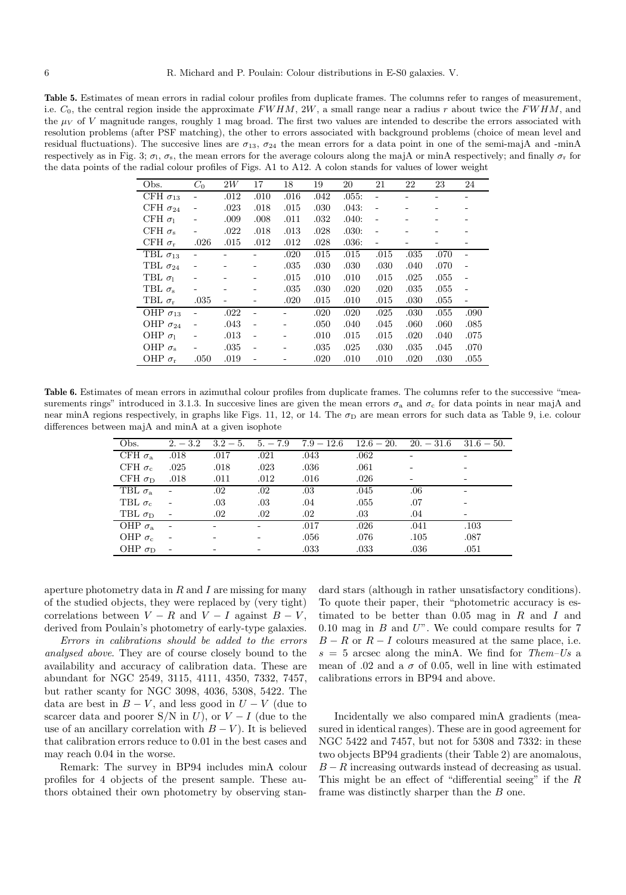**Table 5.** Estimates of mean errors in radial colour profiles from duplicate frames. The columns refer to ranges of measurement, i.e.  $C_0$ , the central region inside the approximate  $FWHM$ , 2W, a small range near a radius r about twice the  $FWHM$ , and the  $\mu_V$  of V magnitude ranges, roughly 1 mag broad. The first two values are intended to describe the errors associated with resolution problems (after PSF matching), the other to errors associated with background problems (choice of mean level and residual fluctuations). The succesive lines are  $\sigma_{13}$ ,  $\sigma_{24}$  the mean errors for a data point in one of the semi-majA and -minA respectively as in Fig. 3;  $\sigma_1$ ,  $\sigma_s$ , the mean errors for the average colours along the majA or minA respectively; and finally  $\sigma_r$  for the data points of the radial colour profiles of Figs. A1 to A12. A colon stands for values of lower weight

| Obs.                 | $C_0$                    | 2W   | 17             | 18   | 19   | 20    | 21                       | 22   | 23   | 24                       |
|----------------------|--------------------------|------|----------------|------|------|-------|--------------------------|------|------|--------------------------|
| CFH $\sigma_{13}$    |                          | .012 | .010           | .016 | .042 | .055: |                          |      |      |                          |
| CFH $\sigma_{24}$    |                          | .023 | .018           | .015 | .030 | .043: |                          |      |      |                          |
| CFH $\sigma_1$       |                          | .009 | .008           | .011 | .032 | .040: |                          |      |      |                          |
| CFH $\sigma_{s}$     |                          | .022 | .018           | .013 | .028 | .030: |                          |      |      |                          |
| CFH $\sigma_r$       | .026                     | .015 | .012           | .012 | .028 | .036: | $\overline{\phantom{0}}$ |      |      |                          |
| TBL $\sigma_{13}$    |                          |      |                | .020 | .015 | .015  | .015                     | .035 | .070 |                          |
| TBL $\sigma_{24}$    |                          |      |                | .035 | .030 | .030  | .030                     | .040 | .070 |                          |
| TBL $\sigma_1$       |                          |      |                | .015 | .010 | .010  | .015                     | .025 | .055 |                          |
| TBL $\sigma_{s}$     |                          |      |                | .035 | .030 | .020  | .020                     | .035 | .055 | $\overline{\phantom{a}}$ |
| TBL $\sigma_r$       | .035                     |      |                | .020 | .015 | .010  | .015                     | .030 | .055 |                          |
| OHP $\sigma_{13}$    |                          | .022 |                |      | .020 | .020  | .025                     | .030 | .055 | .090                     |
| OHP $\sigma_{24}$    | $\overline{\phantom{a}}$ | .043 | $\blacksquare$ |      | .050 | .040  | .045                     | .060 | .060 | .085                     |
| OHP $\sigma_1$       |                          | .013 | $\blacksquare$ |      | .010 | .015  | .015                     | .020 | .040 | .075                     |
| OHP $\sigma_{\rm s}$ |                          | .035 |                |      | .035 | .025  | .030                     | .035 | .045 | .070                     |
| OHP $\sigma_r$       | .050                     | .019 |                |      | .020 | .010  | .010                     | .020 | .030 | .055                     |

Table 6. Estimates of mean errors in azimuthal colour profiles from duplicate frames. The columns refer to the successive "measurements rings" introduced in 3.1.3. In succesive lines are given the mean errors  $\sigma_a$  and  $\sigma_c$  for data points in near majA and near minA regions respectively, in graphs like Figs. 11, 12, or 14. The  $\sigma_{\rm D}$  are mean errors for such data as Table 9, i.e. colour differences between majA and minA at a given isophote

| Obs.                 | $2. - 3.2$ |      | $3.2 - 5.$ $5. - 7.9$ |         |      | $7.9 - 12.6$ $12.6 - 20$ , $20. -31.6$ $31.6 - 50$ . |      |
|----------------------|------------|------|-----------------------|---------|------|------------------------------------------------------|------|
| CFH $\sigma_{\rm a}$ | .018       | .017 | .021                  | .043    | .062 |                                                      |      |
| CFH $\sigma_{c}$     | .025       | .018 | .023                  | .036    | .061 |                                                      |      |
| CFH $\sigma_{D}$     | .018       | .011 | .012                  | .016    | .026 |                                                      |      |
| TBL $\sigma_{\rm a}$ | $\sim$ $-$ | .02  | .02                   | .03     | .045 | .06                                                  |      |
| TBL $\sigma_c$       |            | .03  | .03                   | .04     | .055 | .07                                                  |      |
| TBL $\sigma_{\rm D}$ |            | .02  | .02                   | $.02\,$ | .03  | .04                                                  |      |
| OHP $\sigma_{\rm a}$ |            |      |                       | .017    | .026 | .041                                                 | .103 |
| OHP $\sigma_c$       |            |      |                       | .056    | .076 | .105                                                 | .087 |
| OHP $\sigma_{\rm D}$ |            |      |                       | .033    | .033 | .036                                                 | .051 |

aperture photometry data in  $R$  and  $I$  are missing for many of the studied objects, they were replaced by (very tight) correlations between  $V - R$  and  $V - I$  against  $B - V$ , derived from Poulain's photometry of early-type galaxies.

Errors in calibrations should be added to the errors analysed above. They are of course closely bound to the availability and accuracy of calibration data. These are abundant for NGC 2549, 3115, 4111, 4350, 7332, 7457, but rather scanty for NGC 3098, 4036, 5308, 5422. The data are best in  $B - V$ , and less good in  $U - V$  (due to scarcer data and poorer S/N in U), or  $V-I$  (due to the use of an ancillary correlation with  $B - V$ ). It is believed that calibration errors reduce to 0.01 in the best cases and may reach 0.04 in the worse.

Remark: The survey in BP94 includes minA colour profiles for 4 objects of the present sample. These authors obtained their own photometry by observing standard stars (although in rather unsatisfactory conditions). To quote their paper, their "photometric accuracy is estimated to be better than  $0.05$  mag in  $R$  and  $I$  and  $0.10$  mag in  $B$  and  $U$ ". We could compare results for  $7$  $B - R$  or  $R - I$  colours measured at the same place, i.e.  $s = 5$  arcsec along the minA. We find for Them–Us a mean of .02 and a  $\sigma$  of 0.05, well in line with estimated calibrations errors in BP94 and above.

Incidentally we also compared minA gradients (measured in identical ranges). These are in good agreement for NGC 5422 and 7457, but not for 5308 and 7332: in these two objects BP94 gradients (their Table 2) are anomalous,  $B - R$  increasing outwards instead of decreasing as usual. This might be an effect of "differential seeing" if the  $R$ frame was distinctly sharper than the B one.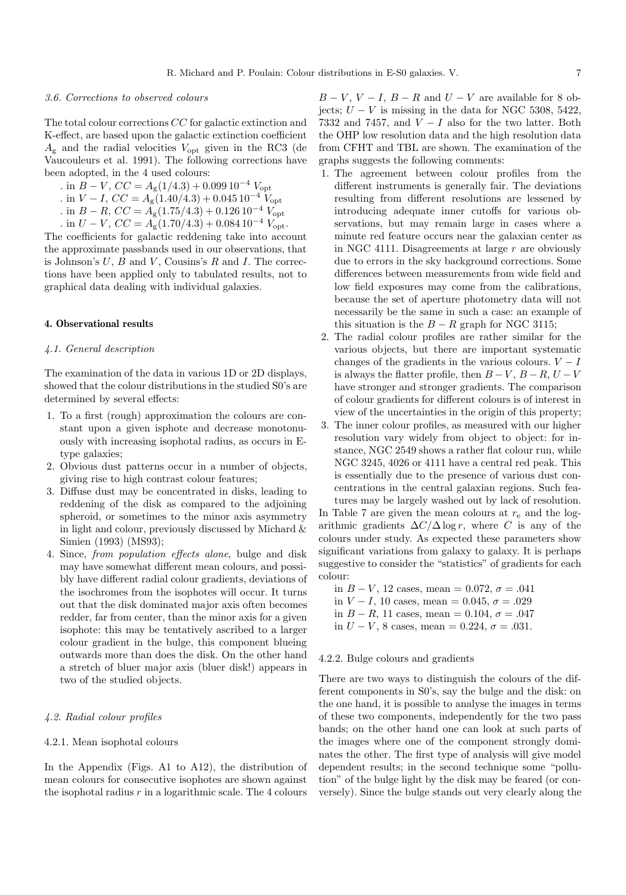#### 3.6. Corrections to observed colours

The total colour corrections CC for galactic extinction and K-effect, are based upon the galactic extinction coefficient  $A_{\rm g}$  and the radial velocities  $V_{\rm opt}$  given in the RC3 (de Vaucouleurs et al. 1991). The following corrections have been adopted, in the 4 used colours:

- . in  $B V$ ,  $CC = A_{\rm g}(1/4.3) + 0.099 10^{-4} V_{\rm opt}$
- . in  $V I$ ,  $CC = A_{\rm g}(1.40/4.3) + 0.045 10^{-4} V_{\rm opt}$
- . in  $B R$ ,  $CC = A<sub>g</sub>(1.75/4.3) + 0.12610^{-4} V_{opt}$
- . in  $U V$ ,  $CC = A_g(1.70/4.3) + 0.084 10^{-4} V_{\text{opt}}$ .

The coefficients for galactic reddening take into account the approximate passbands used in our observations, that is Johnson's  $U, B$  and  $V$ , Cousins's  $R$  and  $I$ . The corrections have been applied only to tabulated results, not to graphical data dealing with individual galaxies.

## **4. Observational results**

## 4.1. General description

The examination of the data in various 1D or 2D displays, showed that the colour distributions in the studied S0's are determined by several effects:

- 1. To a first (rough) approximation the colours are constant upon a given isphote and decrease monotonuously with increasing isophotal radius, as occurs in Etype galaxies;
- 2. Obvious dust patterns occur in a number of objects, giving rise to high contrast colour features;
- 3. Diffuse dust may be concentrated in disks, leading to reddening of the disk as compared to the adjoining spheroid, or sometimes to the minor axis asymmetry in light and colour, previously discussed by Michard & Simien (1993) (MS93);
- 4. Since, from population effects alone, bulge and disk may have somewhat different mean colours, and possibly have different radial colour gradients, deviations of the isochromes from the isophotes will occur. It turns out that the disk dominated major axis often becomes redder, far from center, than the minor axis for a given isophote: this may be tentatively ascribed to a larger colour gradient in the bulge, this component blueing outwards more than does the disk. On the other hand a stretch of bluer major axis (bluer disk!) appears in two of the studied objects.

#### 4.2. Radial colour profiles

#### 4.2.1. Mean isophotal colours

In the Appendix (Figs. A1 to A12), the distribution of mean colours for consecutive isophotes are shown against the isophotal radius  $r$  in a logarithmic scale. The 4 colours

 $B - V$ ,  $V - I$ ,  $B - R$  and  $U - V$  are available for 8 objects;  $U - V$  is missing in the data for NGC 5308, 5422, 7332 and 7457, and  $V - I$  also for the two latter. Both the OHP low resolution data and the high resolution data from CFHT and TBL are shown. The examination of the graphs suggests the following comments:

- 1. The agreement between colour profiles from the different instruments is generally fair. The deviations resulting from different resolutions are lessened by introducing adequate inner cutoffs for various observations, but may remain large in cases where a minute red feature occurs near the galaxian center as in NGC 4111. Disagreements at large  $r$  are obviously due to errors in the sky background corrections. Some differences between measurements from wide field and low field exposures may come from the calibrations, because the set of aperture photometry data will not necessarily be the same in such a case: an example of this situation is the  $B - R$  graph for NGC 3115;
- 2. The radial colour profiles are rather similar for the various objects, but there are important systematic changes of the gradients in the various colours.  $V - I$ is always the flatter profile, then  $B - V$ ,  $B - R$ ,  $U - V$ have stronger and stronger gradients. The comparison of colour gradients for different colours is of interest in view of the uncertainties in the origin of this property;
- 3. The inner colour profiles, as measured with our higher resolution vary widely from object to object: for instance, NGC 2549 shows a rather flat colour run, while NGC 3245, 4026 or 4111 have a central red peak. This is essentially due to the presence of various dust concentrations in the central galaxian regions. Such features may be largely washed out by lack of resolution.

In Table 7 are given the mean colours at  $r_{e}$  and the logarithmic gradients  $\Delta C/\Delta \log r$ , where C is any of the colours under study. As expected these parameters show significant variations from galaxy to galaxy. It is perhaps suggestive to consider the "statistics" of gradients for each colour:

in  $B - V$ , 12 cases, mean = 0.072,  $\sigma = .041$ in  $V - I$ , 10 cases, mean = 0.045,  $\sigma = .029$ in  $B - R$ , 11 cases, mean = 0.104,  $\sigma = .047$ in  $U - V$ , 8 cases, mean = 0.224,  $\sigma = .031$ .

#### 4.2.2. Bulge colours and gradients

There are two ways to distinguish the colours of the different components in S0's, say the bulge and the disk: on the one hand, it is possible to analyse the images in terms of these two components, independently for the two pass bands; on the other hand one can look at such parts of the images where one of the component strongly dominates the other. The first type of analysis will give model dependent results; in the second technique some "pollution" of the bulge light by the disk may be feared (or conversely). Since the bulge stands out very clearly along the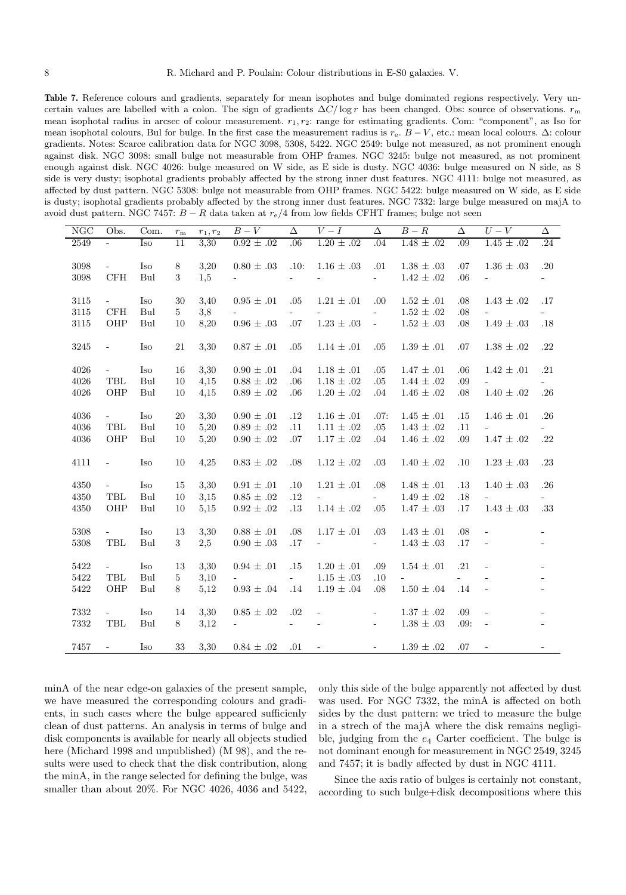Table 7. Reference colours and gradients, separately for mean isophotes and bulge dominated regions respectively. Very uncertain values are labelled with a colon. The sign of gradients  $\Delta C/\log r$  has been changed. Obs: source of observations.  $r<sub>m</sub>$ mean isophotal radius in arcsec of colour measurement.  $r_1, r_2$ : range for estimating gradients. Com: "component", as Iso for mean isophotal colours, Bul for bulge. In the first case the measurement radius is  $r_e$ .  $B - V$ , etc.: mean local colours.  $\Delta$ : colour gradients. Notes: Scarce calibration data for NGC 3098, 5308, 5422. NGC 2549: bulge not measured, as not prominent enough against disk. NGC 3098: small bulge not measurable from OHP frames. NGC 3245: bulge not measured, as not prominent enough against disk. NGC 4026: bulge measured on W side, as E side is dusty. NGC 4036: bulge measured on N side, as S side is very dusty; isophotal gradients probably affected by the strong inner dust features. NGC 4111: bulge not measured, as affected by dust pattern. NGC 5308: bulge not measurable from OHP frames. NGC 5422: bulge measured on W side, as E side is dusty; isophotal gradients probably affected by the strong inner dust features. NGC 7332: large bulge measured on majA to avoid dust pattern. NGC 7457:  $B - R$  data taken at  $r_e/4$  from low fields CFHT frames; bulge not seen

|          |                      |      |                  |            | $B-V$                                                                     |                          | $V-I$                           | $\Delta$                  |                     |            | $U-V$                    | $\overline{\Delta}$          |
|----------|----------------------|------|------------------|------------|---------------------------------------------------------------------------|--------------------------|---------------------------------|---------------------------|---------------------|------------|--------------------------|------------------------------|
| NGC      | Obs.                 | Com. | $r_{\rm m}$      | $r_1, r_2$ |                                                                           | Δ                        |                                 |                           | $B-R$               | Δ          |                          |                              |
| 2549     | ÷,                   | Iso  | 11               | 3,30       | $0.92 \pm .02$                                                            | .06                      | $1.20 \pm .02$                  | .04                       | $1.48 \pm .02$      | .09        | $1.45 \pm .02$           | .24                          |
| 3098     | $\sim$ .             | Iso  | 8                | 3,20       | $0.80 \pm .03$                                                            | .10:                     | $1.16 \pm .03$                  | .01                       | $1.38 \pm .03$      | .07        | $1.36 \pm .03$           | .20                          |
| 3098     | $\operatorname{CFH}$ | Bul  | $\boldsymbol{3}$ | 1,5        |                                                                           |                          |                                 | $\omega_{\rm{max}}$       | $1.42 \pm .02$      | .06        |                          | $\overline{\phantom{a}}$     |
|          |                      |      |                  |            |                                                                           |                          |                                 |                           |                     |            |                          |                              |
| 3115     | $\omega_{\rm{max}}$  | Iso  | $30\,$           | 3,40       | $0.95 \pm .01$                                                            | .05                      | $1.21 \pm .01$                  | .00.                      | $1.52 \pm .01$      | .08        | $1.43\,\pm\,.02$         | .17                          |
| 3115     | CFH                  | Bul  | 5 <sup>5</sup>   | 3,8        |                                                                           |                          |                                 | $\equiv$                  | $1.52 \pm .02$      | .08        |                          |                              |
| 3115     | OHP                  | Bul  | 10               | 8,20       | $0.96 \pm .03$                                                            | .07                      | $1.23\,\pm\,.03$                | $\omega$                  | $1.52 \pm .03$      | .08        | $1.49 \pm .03$           | $.18\,$                      |
|          |                      |      |                  |            |                                                                           |                          |                                 |                           |                     |            |                          |                              |
| 3245     | $\equiv$             | Iso  | 21               | 3,30       | $0.87 \pm .01$                                                            | .05                      | $1.14 \pm .01$                  | .05                       | $1.39 \pm .01$      | .07        | $1.38 \pm .02$           | $.22\,$                      |
| 4026     | $\omega_{\rm{eff}}$  | Iso  | 16               | 3,30       | $0.90 \pm .01$                                                            | .04                      | $1.18 \pm .01$                  | .05                       | $1.47 \pm .01$      | .06        | $1.42 \pm .01$           | .21                          |
| 4026     | TBL                  | Bul  | 10               | 4,15       | $0.88 \pm .02$                                                            | .06                      | $1.18 \pm .02$                  | .05                       | $1.44 \pm .02$      | .09        |                          |                              |
| $4026\,$ | OHP                  | Bul  | 10               | 4,15       | $0.89\,\pm\,.02$                                                          | .06                      | $1.20\,\pm\,.02$                | .04                       | $1.46\,\pm\,.02$    | .08        | $1.40\,\pm\,.02$         | $.26\,$                      |
|          |                      |      |                  |            |                                                                           |                          |                                 |                           |                     |            |                          |                              |
| 4036     | $\omega_{\rm{max}}$  | Iso  | 20               | 3,30       | $0.90 \pm .01$                                                            | .12                      | $1.16 \pm .01$                  | .07:                      | $1.45 \pm .01$      | .15        | $1.46 \pm .01$           | .26                          |
| $4036\,$ | $\operatorname{TBL}$ | Bul  | 10               | 5,20       | $0.89 \pm .02$                                                            | .11                      | $1.11 \pm .02$                  | .05                       | $1.43\,\pm\,.02$    | .11        | $\omega_{\rm{max}}$      |                              |
| $4036\,$ | OHP                  | Bul  | 10               | 5,20       | $0.90 \pm .02$                                                            | .07                      | $1.17 \pm .02$                  | .04                       | $1.46 \pm .02$      | .09        | $1.47 \pm .02$           | $.22\,$                      |
|          |                      |      |                  |            |                                                                           |                          |                                 |                           |                     |            |                          |                              |
| 4111     | $\equiv$             | Iso  | 10               | 4,25       | $0.83 \pm .02$                                                            | .08                      | $1.12 \pm .02$                  | .03                       | $1.40\,\pm\,.02$    | .10        | $1.23 \pm .03$           | $.23\,$                      |
|          |                      |      |                  |            |                                                                           |                          |                                 |                           |                     |            |                          |                              |
| 4350     | $\sim$ $^{-1}$       | Iso  | 15               | 3,30       | $0.91 \pm .01$                                                            | .10                      | $1.21 \pm .01$                  | .08                       | $1.48 \pm .01$      | $.13\,$    | $1.40 \pm .03$           | $.26\,$                      |
| 4350     | TBL                  | Bul  | 10               | 3,15       | $0.85 \pm .02$                                                            | .12                      | $\omega_{\rm{max}}$             | $\mathbf{L}^{\text{max}}$ | $1.49 \pm .02$      | .18        | $\sim 10^{-10}$          |                              |
| $4350\,$ | OHP                  | Bul  | 10               | 5,15       | $0.92 \pm .02$                                                            | .13                      | $1.14\,\pm\,.02$                | .05                       | $1.47 \pm .03$      | .17        | $1.43 \pm .03$           | $.33\,$                      |
| 5308     | $\omega_{\rm{max}}$  | Iso  | 13               | 3,30       | $0.88\,\pm\,.01$                                                          | .08                      | $1.17 \pm .01$                  | $.03\,$                   | $1.43 \pm .01$      | .08        | $\blacksquare$           | $\overline{\phantom{a}}$     |
| $5308\,$ | TBL                  | Bul  | 3 <sup>1</sup>   | 2,5        | $0.90 \pm .03$                                                            | .17                      | $\Delta \sim 10^{11}$ m $^{-1}$ | $\omega_{\rm{max}}$       | $1.43\,\pm\,.03$    | .17        | $\blacksquare$           | $\overline{\phantom{a}}$     |
|          |                      |      |                  |            |                                                                           |                          |                                 |                           |                     |            |                          |                              |
| 5422     | $\omega_{\rm{max}}$  | Iso  | 13               | 3,30       | $0.94 \pm .01$                                                            | .15                      | $1.20\,\pm\,.01$                | .09                       | $1.54 \pm .01$      | .21        | ÷,                       | $\qquad \qquad \blacksquare$ |
| 5422     | TBL                  | Bul  | 5 <sup>5</sup>   | 3,10       | $\frac{1}{2}$ , and $\frac{1}{2}$ , and $\frac{1}{2}$ , and $\frac{1}{2}$ | $\omega_{\rm{max}}$      | $1.15\,\pm\,.03$                | .10                       | $\omega_{\rm{max}}$ | $\sim$ $-$ | $\overline{\phantom{a}}$ | $\overline{\phantom{a}}$     |
| 5422     | OHP                  | Bul  | 8                | 5,12       | $0.93 \pm .04$                                                            | .14                      | $1.19\,\pm\,.04$                | .08                       | $1.50 \pm .04$      | .14        | $\Box$                   | $\overline{\phantom{a}}$     |
|          |                      |      |                  |            |                                                                           |                          |                                 |                           |                     |            |                          |                              |
| 7332     | $\omega_{\rm{max}}$  | Iso  | 14               | 3,30       | $0.85\,\pm\,.02$                                                          | $.02\,$                  | $\overline{\phantom{a}}$        | $\overline{\phantom{a}}$  | $1.37\,\pm\,.02$    | .09        | $\blacksquare$           | $\overline{\phantom{m}}$     |
| 7332     | TBL                  | Bul  | 8                | 3,12       |                                                                           | $\overline{\phantom{a}}$ | $\overline{\phantom{a}}$        | $\equiv$                  | $1.38 \pm .03$      | .09:       | $\overline{\phantom{a}}$ | $\overline{\phantom{a}}$     |
| 7457     | $\sim$               | Iso  | 33               | 3,30       | $0.84 \pm .02$                                                            | .01                      | $\overline{\phantom{a}}$        | $\overline{\phantom{a}}$  | $1.39\,\pm\,.02$    | $.07\,$    | $\overline{\phantom{a}}$ | $\overline{\phantom{a}}$     |
|          |                      |      |                  |            |                                                                           |                          |                                 |                           |                     |            |                          |                              |

minA of the near edge-on galaxies of the present sample, we have measured the corresponding colours and gradients, in such cases where the bulge appeared sufficienly clean of dust patterns. An analysis in terms of bulge and disk components is available for nearly all objects studied here (Michard 1998 and unpublished) (M 98), and the results were used to check that the disk contribution, along the minA, in the range selected for defining the bulge, was smaller than about 20%. For NGC 4026, 4036 and 5422, only this side of the bulge apparently not affected by dust was used. For NGC 7332, the minA is affected on both sides by the dust pattern: we tried to measure the bulge in a strech of the majA where the disk remains negligible, judging from the  $e_4$  Carter coefficient. The bulge is not dominant enough for measurement in NGC 2549, 3245 and 7457; it is badly affected by dust in NGC 4111.

Since the axis ratio of bulges is certainly not constant, according to such bulge+disk decompositions where this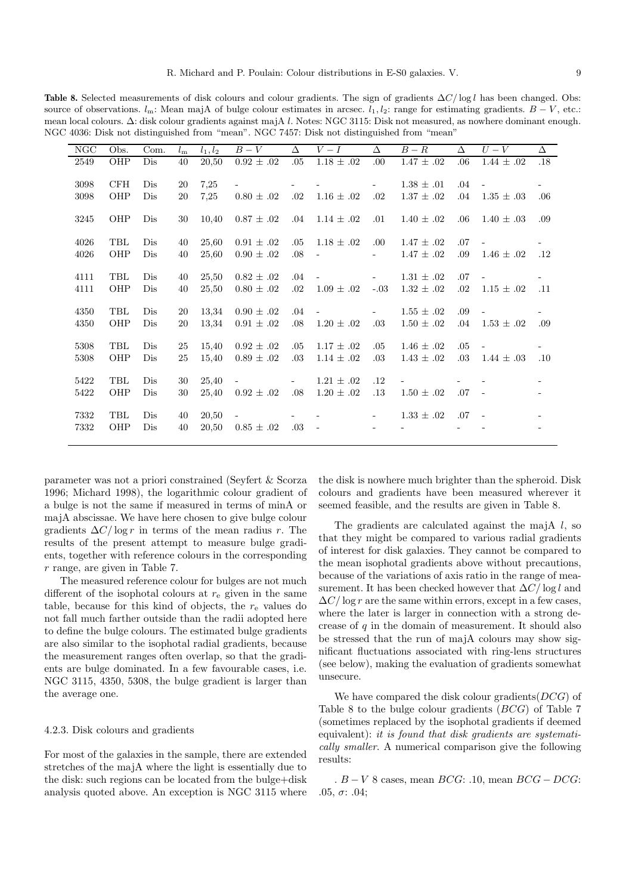**Table 8.** Selected measurements of disk colours and colour gradients. The sign of gradients  $\Delta C / \log l$  has been changed. Obs: source of observations.  $l_m$ : Mean majA of bulge colour estimates in arcsec.  $l_1, l_2$ : range for estimating gradients.  $B - V$ , etc.: mean local colours. ∆: disk colour gradients against majA l. Notes: NGC 3115: Disk not measured, as nowhere dominant enough. NGC 4036: Disk not distinguished from "mean". NGC 7457: Disk not distinguished from "mean"

| NGC  | Obs. | Com. | $l_{\rm m}$ | $l_1, l_2$ | $B-V$                     | Δ          | $V-I$                    | Δ                        | $B - R$        | Δ       | $U-V$                    | $\Delta$                 |
|------|------|------|-------------|------------|---------------------------|------------|--------------------------|--------------------------|----------------|---------|--------------------------|--------------------------|
| 2549 | OHP  | Dis  | 40          | 20,50      | $\overline{0.92} \pm .02$ | .05        | $1.18 \pm .02$           | .00                      | $1.47 \pm .02$ | .06     | $1.44 \pm .02$           | .18                      |
| 3098 | CFH  | Dis  | 20          | 7,25       |                           |            |                          | $\sim$                   | $1.38 \pm .01$ | $.04\,$ |                          | $\overline{\phantom{0}}$ |
| 3098 | OHP  | Dis  | 20          | 7,25       | $0.80 \pm .02$            | .02        | $1.16 \pm .02$           | .02                      | $1.37 \pm .02$ | .04     | $1.35 \pm .03$           | .06                      |
| 3245 | OHP  | Dis  | 30          | 10,40      | $0.87 \pm .02$            | .04        | $1.14 \pm .02$           | .01                      | $1.40 \pm .02$ | .06     | $1.40 \pm .03$           | .09                      |
| 4026 | TBL  | Dis  | 40          | 25,60      | $0.91 \pm .02$            | .05        | $1.18 \pm .02$           | .00                      | $1.47 \pm .02$ | .07     |                          | $\overline{\phantom{0}}$ |
| 4026 | OHP  | Dis  | 40          | 25,60      | $0.90 \pm .02$            | .08        | $\blacksquare$           | $\blacksquare$           | $1.47 \pm .02$ | .09     | $1.46 \pm .02$           | .12                      |
| 4111 | TBL  | Dis  | 40          | 25,50      | $0.82 \pm .02$            | .04        |                          | $\overline{\phantom{a}}$ | $1.31 \pm .02$ | .07     |                          |                          |
| 4111 | OHP  | Dis  | 40          | 25,50      | $0.80 \pm .02$            | .02        | $1.09 \pm .02$           | $-.03$                   | $1.32 \pm .02$ | .02     | $1.15 \pm .02$           | .11                      |
| 4350 | TBL  | Dis  | 20          | 13,34      | $0.90 \pm .02$            | .04        | $\overline{\phantom{a}}$ | $\sim$                   | $1.55 \pm .02$ | .09     | $\overline{\phantom{a}}$ | $\overline{\phantom{0}}$ |
| 4350 | OHP  | Dis  | 20          | 13,34      | $0.91 \pm .02$            | .08        | $1.20 \pm .02$           | .03                      | $1.50 \pm .02$ | .04     | $1.53 \pm .02$           | .09                      |
| 5308 | TBL  | Dis  | 25          | 15,40      | $0.92 \pm .02$            | .05        | $1.17 \pm .02$           | .05                      | $1.46 \pm .02$ | .05     |                          | $\overline{\phantom{0}}$ |
| 5308 | OHP  | Dis  | 25          | 15,40      | $0.89 \pm .02$            | .03        | $1.14 \pm .02$           | .03                      | $1.43 \pm .02$ | .03     | $1.44 \pm .03$           | .10                      |
| 5422 | TBL  | Dis  | 30          | 25,40      | $\overline{\phantom{0}}$  | $\sim 100$ | $1.21 \pm .02$           | $.12\,$                  |                |         |                          | $\overline{\phantom{m}}$ |
| 5422 | OHP  | Dis  | 30          | 25,40      | $0.92 \pm .02$            | .08        | $1.20 \pm .02$           | $.13\,$                  | $1.50 \pm .02$ | .07     | $\sim$                   | $\qquad \qquad -$        |
| 7332 | TBL  | Dis  | 40          | 20,50      |                           |            |                          |                          | $1.33 \pm .02$ | .07     |                          |                          |
| 7332 | OHP  | Dis  | 40          | 20,50      | $0.85 \pm .02$            | .03        | $\overline{a}$           |                          |                |         |                          | $\overline{\phantom{a}}$ |
|      |      |      |             |            |                           |            |                          |                          |                |         |                          |                          |

parameter was not a priori constrained (Seyfert & Scorza 1996; Michard 1998), the logarithmic colour gradient of a bulge is not the same if measured in terms of minA or majA abscissae. We have here chosen to give bulge colour gradients  $\Delta C / \log r$  in terms of the mean radius r. The results of the present attempt to measure bulge gradients, together with reference colours in the corresponding r range, are given in Table 7.

The measured reference colour for bulges are not much different of the isophotal colours at  $r_{e}$  given in the same table, because for this kind of objects, the  $r_{e}$  values do not fall much farther outside than the radii adopted here to define the bulge colours. The estimated bulge gradients are also similar to the isophotal radial gradients, because the measurement ranges often overlap, so that the gradients are bulge dominated. In a few favourable cases, i.e. NGC 3115, 4350, 5308, the bulge gradient is larger than the average one.

#### 4.2.3. Disk colours and gradients

For most of the galaxies in the sample, there are extended stretches of the majA where the light is essentially due to the disk: such regions can be located from the bulge+disk analysis quoted above. An exception is NGC 3115 where the disk is nowhere much brighter than the spheroid. Disk colours and gradients have been measured wherever it seemed feasible, and the results are given in Table 8.

The gradients are calculated against the majA  $l$ , so that they might be compared to various radial gradients of interest for disk galaxies. They cannot be compared to the mean isophotal gradients above without precautions, because of the variations of axis ratio in the range of measurement. It has been checked however that  $\Delta C/\log l$  and  $\Delta C/\log r$  are the same within errors, except in a few cases, where the later is larger in connection with a strong decrease of  $q$  in the domain of measurement. It should also be stressed that the run of majA colours may show significant fluctuations associated with ring-lens structures (see below), making the evaluation of gradients somewhat unsecure.

We have compared the disk colour gradients  $(DCG)$  of Table 8 to the bulge colour gradients (BCG) of Table 7 (sometimes replaced by the isophotal gradients if deemed equivalent): it is found that disk gradients are systematically smaller. A numerical comparison give the following results:

 $B - V$  8 cases, mean  $BCG: .10$ , mean  $BCG - DCG:$ .05,  $σ: .04;$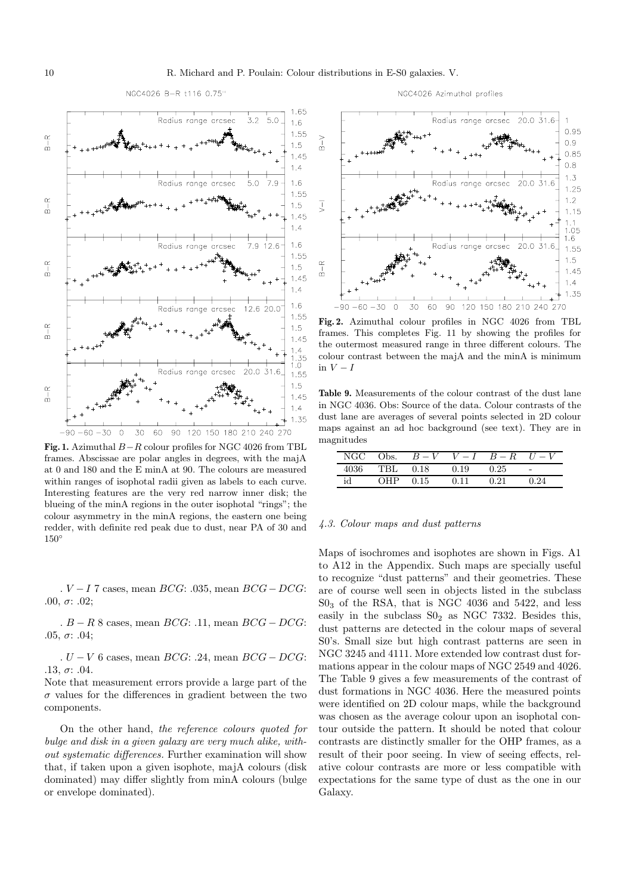

NGC4026 Azimuthal profiles



**Fig. 1.** Azimuthal B−R colour profiles for NGC 4026 from TBL frames. Abscissae are polar angles in degrees, with the majA at 0 and 180 and the E minA at 90. The colours are measured within ranges of isophotal radii given as labels to each curve. Interesting features are the very red narrow inner disk; the blueing of the minA regions in the outer isophotal "rings"; the colour asymmetry in the minA regions, the eastern one being redder, with definite red peak due to dust, near PA of 30 and 150◦

 $V-I$  7 cases, mean  $BCG: .035$ , mean  $BCG-DCG:$ .00,  $σ: .02;$ 

 $B - R$  8 cases, mean  $BCG: .11$ , mean  $BCG - DCG:$ .05,  $\sigma$ : .04;

.  $U - V$  6 cases, mean  $BCG: .24$ , mean  $BCG - DCG:$ .13,  $\sigma$ : .04.

Note that measurement errors provide a large part of the  $\sigma$  values for the differences in gradient between the two components.

On the other hand, the reference colours quoted for bulge and disk in a given galaxy are very much alike, without systematic differences. Further examination will show that, if taken upon a given isophote, majA colours (disk dominated) may differ slightly from minA colours (bulge or envelope dominated).



**Fig. 2.** Azimuthal colour profiles in NGC 4026 from TBL frames. This completes Fig. 11 by showing the profiles for the outermost measured range in three different colours. The colour contrast between the majA and the minA is minimum in  $V-I$ 

**Table 9.** Measurements of the colour contrast of the dust lane in NGC 4036. Obs: Source of the data. Colour contrasts of the dust lane are averages of several points selected in 2D colour maps against an ad hoc background (see text). They are in magnitudes

| NGC- | Obs. | $B-V$ | $V-I$ | $B-R$ | $U - V$ |
|------|------|-------|-------|-------|---------|
| 4036 | TRL  | 0.18  | 0.19  | 0.25  | $\sim$  |
| id   | ∩HÞ  | 0.15  | 0.11  | O 21  | በ 24    |

#### 4.3. Colour maps and dust patterns

Maps of isochromes and isophotes are shown in Figs. A1 to A12 in the Appendix. Such maps are specially useful to recognize "dust patterns" and their geometries. These are of course well seen in objects listed in the subclass S0<sup>3</sup> of the RSA, that is NGC 4036 and 5422, and less easily in the subclass  $S_0$  as NGC 7332. Besides this, dust patterns are detected in the colour maps of several S0's. Small size but high contrast patterns are seen in NGC 3245 and 4111. More extended low contrast dust formations appear in the colour maps of NGC 2549 and 4026. The Table 9 gives a few measurements of the contrast of dust formations in NGC 4036. Here the measured points were identified on 2D colour maps, while the background was chosen as the average colour upon an isophotal contour outside the pattern. It should be noted that colour contrasts are distinctly smaller for the OHP frames, as a result of their poor seeing. In view of seeing effects, relative colour contrasts are more or less compatible with expectations for the same type of dust as the one in our Galaxy.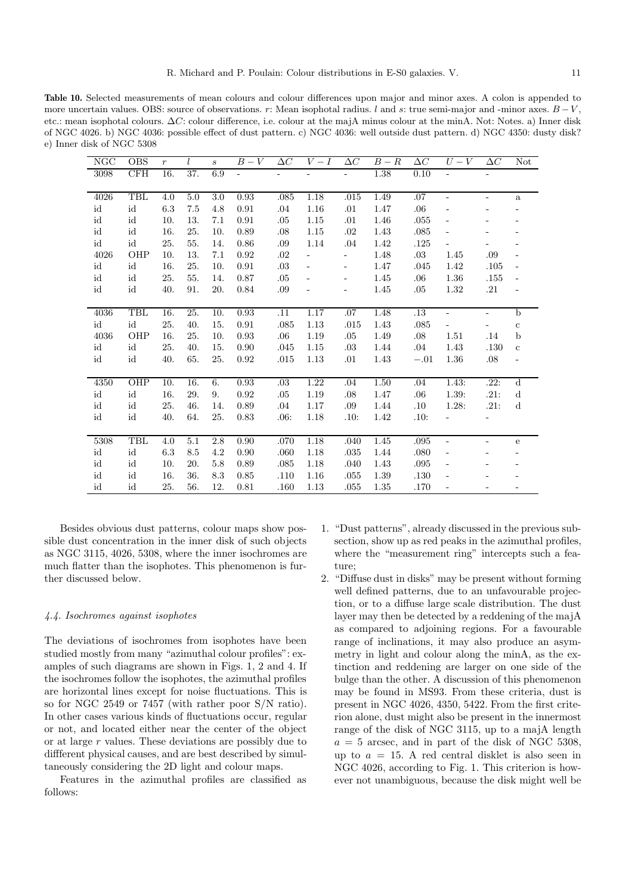**Table 10.** Selected measurements of mean colours and colour differences upon major and minor axes. A colon is appended to more uncertain values. OBS: source of observations. r: Mean isophotal radius. l and s: true semi-major and -minor axes.  $B-V$ , etc.: mean isophotal colours. ∆C: colour difference, i.e. colour at the majA minus colour at the minA. Not: Notes. a) Inner disk of NGC 4026. b) NGC 4036: possible effect of dust pattern. c) NGC 4036: well outside dust pattern. d) NGC 4350: dusty disk? e) Inner disk of NGC 5308

| NGC                 | <b>OBS</b>          | $\boldsymbol{r}$ |                  | $\mathcal{S}_{\mathcal{S}}$ | $B-V$          | $\Delta C$ | $V-I$                    | $\Delta C$               | $\overline{B}-R$ | $\Delta C$ | $U-V$                        | $\Delta C$               | Not                          |
|---------------------|---------------------|------------------|------------------|-----------------------------|----------------|------------|--------------------------|--------------------------|------------------|------------|------------------------------|--------------------------|------------------------------|
| 3098                | CFH                 | 16.              | 37.              | 6.9                         | $\blacksquare$ |            |                          |                          | 1.38             | 0.10       |                              |                          |                              |
|                     |                     |                  |                  |                             |                |            |                          |                          |                  |            |                              |                          |                              |
| 4026                | TBL                 | 4.0              | 5.0              | 3.0                         | 0.93           | .085       | 1.18                     | .015                     | 1.49             | .07        | $\overline{a}$               | $\qquad \qquad -$        | $\rm{a}$                     |
| id                  | id                  | 6.3              | 7.5              | 4.8                         | 0.91           | .04        | 1.16                     | .01                      | 1.47             | .06        |                              |                          |                              |
| id                  | id                  | 10.              | 13.              | 7.1                         | 0.91           | .05        | 1.15                     | .01                      | 1.46             | .055       | $\overline{\phantom{a}}$     |                          | -                            |
| id                  | id                  | 16.              | 25.              | 10.                         | 0.89           | .08        | 1.15                     | .02                      | 1.43             | .085       | -                            |                          |                              |
| id                  | id                  | 25.              | 55.              | 14.                         | 0.86           | .09        | 1.14                     | .04                      | 1.42             | .125       |                              |                          |                              |
| 4026                | OHP                 | 10.              | 13.              | 7.1                         | 0.92           | .02        |                          |                          | 1.48             | $.03\,$    | 1.45                         | .09                      |                              |
| id                  | id                  | 16.              | 25.              | 10.                         | 0.91           | .03        | $\overline{\phantom{a}}$ | $\overline{\phantom{0}}$ | 1.47             | .045       | 1.42                         | .105                     | ÷,                           |
| $\operatorname{id}$ | $\operatorname{id}$ | 25.              | 55.              | 14.                         | 0.87           | .05        |                          |                          | 1.45             | $.06\,$    | $1.36\,$                     | $.155\,$                 | $\overline{\phantom{a}}$     |
| id                  | id                  | 40.              | 91.              | 20.                         | 0.84           | .09        |                          | -                        | 1.45             | .05        | 1.32                         | .21                      | $\qquad \qquad \blacksquare$ |
|                     |                     |                  |                  |                             |                |            |                          |                          |                  |            |                              |                          |                              |
| 4036                | TBL                 | 16.              | 25.              | 10.                         | 0.93           | .11        | 1.17                     | .07                      | 1.48             | .13        | $\overline{\phantom{0}}$     | $\equiv$                 | $\mathbf b$                  |
| id                  | id                  | 25.              | 40.              | 15.                         | 0.91           | .085       | 1.13                     | $.015\,$                 | $1.43\,$         | .085       |                              | $\overline{\phantom{0}}$ | $\mathbf{c}$                 |
| 4036                | OHP                 | 16.              | 25.              | 10.                         | 0.93           | .06        | 1.19                     | .05                      | 1.49             | .08        | 1.51                         | .14                      | $\mathbf b$                  |
| id                  | id                  | 25.              | 40.              | 15.                         | 0.90           | .045       | 1.15                     | .03                      | 1.44             | $.04\,$    | 1.43                         | .130                     | $\mathbf c$                  |
| id                  | id                  | 40.              | 65.              | 25.                         | 0.92           | .015       | 1.13                     | .01                      | 1.43             | $-.01$     | 1.36                         | $.08\,$                  |                              |
|                     |                     |                  |                  |                             |                |            |                          |                          |                  |            |                              |                          |                              |
| 4350                | OHP                 | 10.              | 16.              | 6.                          | 0.93           | .03        | 1.22                     | .04                      | 1.50             | .04        | 1.43:                        | .22:                     | $\overline{d}$               |
| id                  | id                  | 16.              | 29.              | 9.                          | 0.92           | .05        | 1.19                     | .08                      | 1.47             | .06        | 1.39:                        | .21:                     | ${\rm d}$                    |
| id                  | id                  | 25.              | 46.              | 14.                         | 0.89           | .04        | 1.17                     | .09                      | 1.44             | $.10\,$    | 1.28:                        | .21:                     | $\mathbf d$                  |
| id                  | id                  | 40.              | 64.              | 25.                         | 0.83           | .06:       | 1.18                     | .10:                     | 1.42             | .10:       |                              |                          |                              |
|                     |                     |                  |                  |                             |                |            |                          |                          |                  |            |                              |                          |                              |
| 5308                | TBL                 | 4.0              | $\overline{5.1}$ | 2.8                         | 0.90           | .070       | 1.18                     | .040                     | 1.45             | .095       | $\overline{\phantom{0}}$     | $\overline{\phantom{a}}$ | e                            |
| id                  | $\operatorname{id}$ | 6.3              | 8.5              | 4.2                         | 0.90           | .060       | 1.18                     | .035                     | 1.44             | .080       | $\overline{\phantom{a}}$     |                          |                              |
| $\operatorname{id}$ | $\operatorname{id}$ | 10.              | 20.              | 5.8                         | 0.89           | $.085\,$   | 1.18                     | .040                     | $1.43\,$         | .095       | $\overline{\phantom{a}}$     |                          |                              |
| id                  | id                  | 16.              | 36.              | 8.3                         | 0.85           | .110       | 1.16                     | .055                     | 1.39             | .130       | $\qquad \qquad \blacksquare$ |                          |                              |
| id                  | id                  | 25.              | 56.              | 12.                         | 0.81           | .160       | 1.13                     | .055                     | $1.35\,$         | .170       |                              |                          |                              |

Besides obvious dust patterns, colour maps show possible dust concentration in the inner disk of such objects as NGC 3115, 4026, 5308, where the inner isochromes are much flatter than the isophotes. This phenomenon is further discussed below.

# 4.4. Isochromes against isophotes

The deviations of isochromes from isophotes have been studied mostly from many "azimuthal colour profiles": examples of such diagrams are shown in Figs. 1, 2 and 4. If the isochromes follow the isophotes, the azimuthal profiles are horizontal lines except for noise fluctuations. This is so for NGC 2549 or 7457 (with rather poor S/N ratio). In other cases various kinds of fluctuations occur, regular or not, and located either near the center of the object or at large r values. These deviations are possibly due to diffferent physical causes, and are best described by simultaneously considering the 2D light and colour maps.

Features in the azimuthal profiles are classified as follows:

- 1. "Dust patterns", already discussed in the previous subsection, show up as red peaks in the azimuthal profiles, where the "measurement ring" intercepts such a feature;
- 2. "Diffuse dust in disks" may be present without forming well defined patterns, due to an unfavourable projection, or to a diffuse large scale distribution. The dust layer may then be detected by a reddening of the majA as compared to adjoining regions. For a favourable range of inclinations, it may also produce an asymmetry in light and colour along the minA, as the extinction and reddening are larger on one side of the bulge than the other. A discussion of this phenomenon may be found in MS93. From these criteria, dust is present in NGC 4026, 4350, 5422. From the first criterion alone, dust might also be present in the innermost range of the disk of NGC 3115, up to a majA length  $a = 5$  arcsec, and in part of the disk of NGC 5308, up to  $a = 15$ . A red central disklet is also seen in NGC 4026, according to Fig. 1. This criterion is however not unambiguous, because the disk might well be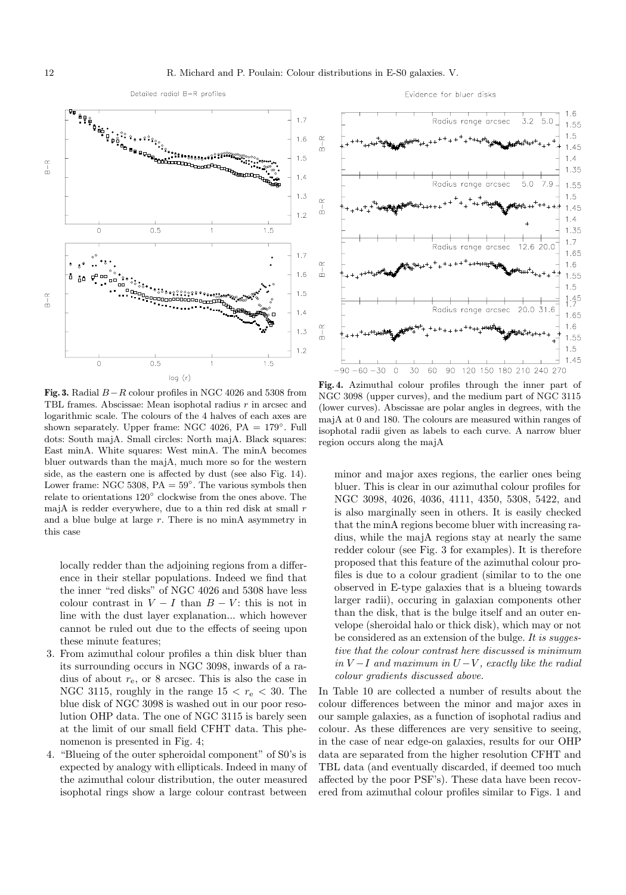

Detailed radial B-R profiles

Evidence for bluer disks



**Fig. 3.** Radial  $B-R$  colour profiles in NGC 4026 and 5308 from TBL frames. Abscissae: Mean isophotal radius r in arcsec and logarithmic scale. The colours of the 4 halves of each axes are shown separately. Upper frame: NGC 4026,  $PA = 179^\circ$ . Full dots: South majA. Small circles: North majA. Black squares: East minA. White squares: West minA. The minA becomes bluer outwards than the majA, much more so for the western side, as the eastern one is affected by dust (see also Fig. 14). Lower frame: NGC 5308,  $PA = 59^\circ$ . The various symbols then relate to orientations 120◦ clockwise from the ones above. The majA is redder everywhere, due to a thin red disk at small  $r$ and a blue bulge at large  $r$ . There is no minA asymmetry in this case

locally redder than the adjoining regions from a difference in their stellar populations. Indeed we find that the inner "red disks" of NGC 4026 and 5308 have less colour contrast in  $V - I$  than  $B - V$ : this is not in line with the dust layer explanation... which however cannot be ruled out due to the effects of seeing upon these minute features;

- 3. From azimuthal colour profiles a thin disk bluer than its surrounding occurs in NGC 3098, inwards of a radius of about  $r_{e}$ , or 8 arcsec. This is also the case in NGC 3115, roughly in the range  $15 < r_e < 30$ . The blue disk of NGC 3098 is washed out in our poor resolution OHP data. The one of NGC 3115 is barely seen at the limit of our small field CFHT data. This phenomenon is presented in Fig. 4;
- 4. "Blueing of the outer spheroidal component" of S0's is expected by analogy with ellipticals. Indeed in many of the azimuthal colour distribution, the outer measured isophotal rings show a large colour contrast between



**Fig. 4.** Azimuthal colour profiles through the inner part of NGC 3098 (upper curves), and the medium part of NGC 3115 (lower curves). Abscissae are polar angles in degrees, with the majA at 0 and 180. The colours are measured within ranges of isophotal radii given as labels to each curve. A narrow bluer region occurs along the majA

minor and major axes regions, the earlier ones being bluer. This is clear in our azimuthal colour profiles for NGC 3098, 4026, 4036, 4111, 4350, 5308, 5422, and is also marginally seen in others. It is easily checked that the minA regions become bluer with increasing radius, while the majA regions stay at nearly the same redder colour (see Fig. 3 for examples). It is therefore proposed that this feature of the azimuthal colour profiles is due to a colour gradient (similar to to the one observed in E-type galaxies that is a blueing towards larger radii), occuring in galaxian components other than the disk, that is the bulge itself and an outer envelope (sheroidal halo or thick disk), which may or not be considered as an extension of the bulge. It is suggestive that the colour contrast here discussed is minimum in  $V-I$  and maximum in  $U-V$ , exactly like the radial colour gradients discussed above.

In Table 10 are collected a number of results about the colour differences between the minor and major axes in our sample galaxies, as a function of isophotal radius and colour. As these differences are very sensitive to seeing, in the case of near edge-on galaxies, results for our OHP data are separated from the higher resolution CFHT and TBL data (and eventually discarded, if deemed too much affected by the poor PSF's). These data have been recovered from azimuthal colour profiles similar to Figs. 1 and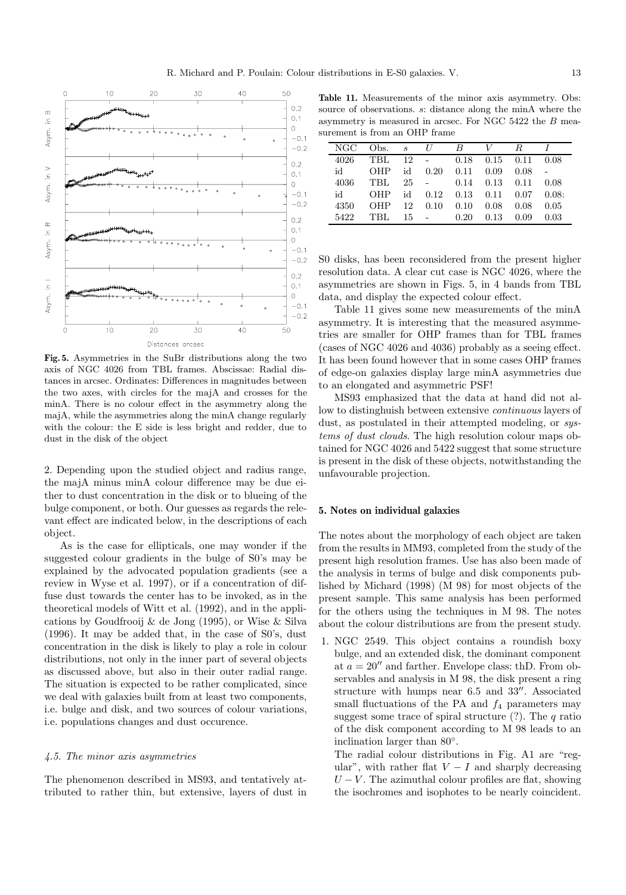

**Fig. 5.** Asymmetries in the SuBr distributions along the two axis of NGC 4026 from TBL frames. Abscissae: Radial distances in arcsec. Ordinates: Differences in magnitudes between the two axes, with circles for the majA and crosses for the minA. There is no colour effect in the asymmetry along the majA, while the asymmetries along the minA change regularly with the colour: the E side is less bright and redder, due to dust in the disk of the object

2. Depending upon the studied object and radius range, the majA minus minA colour difference may be due either to dust concentration in the disk or to blueing of the bulge component, or both. Our guesses as regards the relevant effect are indicated below, in the descriptions of each object.

As is the case for ellipticals, one may wonder if the suggested colour gradients in the bulge of S0's may be explained by the advocated population gradients (see a review in Wyse et al. 1997), or if a concentration of diffuse dust towards the center has to be invoked, as in the theoretical models of Witt et al. (1992), and in the applications by Goudfrooij & de Jong (1995), or Wise & Silva (1996). It may be added that, in the case of S0's, dust concentration in the disk is likely to play a role in colour distributions, not only in the inner part of several objects as discussed above, but also in their outer radial range. The situation is expected to be rather complicated, since we deal with galaxies built from at least two components, i.e. bulge and disk, and two sources of colour variations, i.e. populations changes and dust occurence.

#### 4.5. The minor axis asymmetries

The phenomenon described in MS93, and tentatively attributed to rather thin, but extensive, layers of dust in

Table 11. Measurements of the minor axis asymmetry. Obs: source of observations. s: distance along the minA where the asymmetry is measured in arcsec. For NGC 5422 the B measurement is from an OHP frame

| NGC  | Obs.       | $\mathcal{S}_{\mathcal{S}}$ | U          | B    |      | R    |       |
|------|------------|-----------------------------|------------|------|------|------|-------|
| 4026 | <b>TBL</b> | 12                          | $\sim 100$ | 0.18 | 0.15 | 0.11 | 0.08  |
| id   | OHP        | id                          | 0.20       | 0.11 | 0.09 | 0.08 |       |
| 4036 | <b>TBL</b> | 25                          |            | 0.14 | 0.13 | 0.11 | 0.08  |
| id   | OHP        | id                          | 0.12       | 0.13 | 0.11 | 0.07 | 0.08: |
| 4350 | OHP        | 12                          | 0.10       | 0.10 | 0.08 | 0.08 | 0.05  |
| 5422 | TRL        | 15                          |            | 0.20 | 0.13 | 0.09 | 0.03  |

S0 disks, has been reconsidered from the present higher resolution data. A clear cut case is NGC 4026, where the asymmetries are shown in Figs. 5, in 4 bands from TBL data, and display the expected colour effect.

Table 11 gives some new measurements of the minA asymmetry. It is interesting that the measured asymmetries are smaller for OHP frames than for TBL frames (cases of NGC 4026 and 4036) probably as a seeing effect. It has been found however that in some cases OHP frames of edge-on galaxies display large minA asymmetries due to an elongated and asymmetric PSF!

MS93 emphasized that the data at hand did not allow to distinghuish between extensive continuous layers of dust, as postulated in their attempted modeling, or systems of dust clouds. The high resolution colour maps obtained for NGC 4026 and 5422 suggest that some structure is present in the disk of these objects, notwithstanding the unfavourable projection.

# **5. Notes on individual galaxies**

The notes about the morphology of each object are taken from the results in MM93, completed from the study of the present high resolution frames. Use has also been made of the analysis in terms of bulge and disk components published by Michard (1998) (M 98) for most objects of the present sample. This same analysis has been performed for the others using the techniques in M 98. The notes about the colour distributions are from the present study.

1. NGC 2549. This object contains a roundish boxy bulge, and an extended disk, the dominant component at  $a = 20''$  and farther. Envelope class: thD. From observables and analysis in M 98, the disk present a ring structure with humps near  $6.5$  and  $33''$ . Associated small fluctuations of the PA and  $f_4$  parameters may suggest some trace of spiral structure  $(?)$ . The q ratio of the disk component according to M 98 leads to an inclination larger than 80◦.

The radial colour distributions in Fig. A1 are "regular", with rather flat  $V - I$  and sharply decreasing  $U - V$ . The azimuthal colour profiles are flat, showing the isochromes and isophotes to be nearly coincident.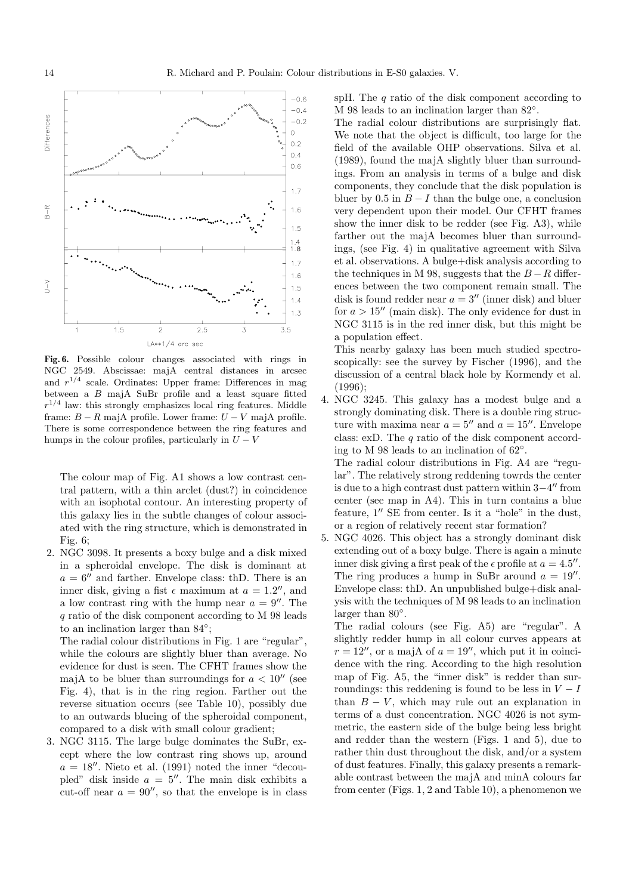

**Fig. 6.** Possible colour changes associated with rings in NGC 2549. Abscissae: majA central distances in arcsec and  $r^{1/4}$  scale. Ordinates: Upper frame: Differences in mag between a B majA SuBr profile and a least square fitted  $r^{1/4}$  law: this strongly emphasizes local ring features. Middle frame:  $B - R$  majA profile. Lower frame:  $U - V$  majA profile. There is some correspondence between the ring features and humps in the colour profiles, particularly in  $U - V$ 

The colour map of Fig. A1 shows a low contrast central pattern, with a thin arclet (dust?) in coincidence with an isophotal contour. An interesting property of this galaxy lies in the subtle changes of colour associated with the ring structure, which is demonstrated in Fig.  $6$ :

2. NGC 3098. It presents a boxy bulge and a disk mixed in a spheroidal envelope. The disk is dominant at  $a = 6$ <sup>n</sup> and farther. Envelope class: thD. There is an inner disk, giving a fist  $\epsilon$  maximum at  $a = 1.2$ ", and a low contrast ring with the hump near  $a = 9''$ . The q ratio of the disk component according to M 98 leads to an inclination larger than 84◦;

The radial colour distributions in Fig. 1 are "regular", while the colours are slightly bluer than average. No evidence for dust is seen. The CFHT frames show the majA to be bluer than surroundings for  $a < 10''$  (see Fig. 4), that is in the ring region. Farther out the reverse situation occurs (see Table 10), possibly due to an outwards blueing of the spheroidal component, compared to a disk with small colour gradient;

3. NGC 3115. The large bulge dominates the SuBr, except where the low contrast ring shows up, around  $a = 18$ ". Nieto et al. (1991) noted the inner "decoupled" disk inside  $a = 5$ ". The main disk exhibits a cut-off near  $a = 90''$ , so that the envelope is in class spH. The  $q$  ratio of the disk component according to M 98 leads to an inclination larger than 82◦.

The radial colour distributions are surprisingly flat. We note that the object is difficult, too large for the field of the available OHP observations. Silva et al. (1989), found the majA slightly bluer than surroundings. From an analysis in terms of a bulge and disk components, they conclude that the disk population is bluer by 0.5 in  $B - I$  than the bulge one, a conclusion very dependent upon their model. Our CFHT frames show the inner disk to be redder (see Fig. A3), while farther out the majA becomes bluer than surroundings, (see Fig. 4) in qualitative agreement with Silva et al. observations. A bulge+disk analysis according to the techniques in M 98, suggests that the  $B-R$  differences between the two component remain small. The disk is found redder near  $a = 3''$  (inner disk) and bluer for  $a > 15''$  (main disk). The only evidence for dust in NGC 3115 is in the red inner disk, but this might be a population effect.

This nearby galaxy has been much studied spectroscopically: see the survey by Fischer (1996), and the discussion of a central black hole by Kormendy et al. (1996);

4. NGC 3245. This galaxy has a modest bulge and a strongly dominating disk. There is a double ring structure with maxima near  $a = 5$ <sup>"</sup> and  $a = 15$ ". Envelope class: exD. The q ratio of the disk component according to M 98 leads to an inclination of 62◦.

The radial colour distributions in Fig. A4 are "regular". The relatively strong reddening towrds the center is due to a high contrast dust pattern within  $3-4$ <sup>"</sup> from center (see map in A4). This in turn contains a blue feature,  $1''$  SE from center. Is it a "hole" in the dust, or a region of relatively recent star formation?

5. NGC 4026. This object has a strongly dominant disk extending out of a boxy bulge. There is again a minute inner disk giving a first peak of the  $\epsilon$  profile at  $a = 4.5$ ". The ring produces a hump in SuBr around  $a = 19''$ . Envelope class: thD. An unpublished bulge+disk analysis with the techniques of M 98 leads to an inclination larger than 80<sup>°</sup>.

The radial colours (see Fig. A5) are "regular". A slightly redder hump in all colour curves appears at  $r = 12^{\prime\prime}$ , or a majA of  $a = 19^{\prime\prime}$ , which put it in coincidence with the ring. According to the high resolution map of Fig. A5, the "inner disk" is redder than surroundings: this reddening is found to be less in  $V-I$ than  $B - V$ , which may rule out an explanation in terms of a dust concentration. NGC 4026 is not symmetric, the eastern side of the bulge being less bright and redder than the western (Figs. 1 and 5), due to rather thin dust throughout the disk, and/or a system of dust features. Finally, this galaxy presents a remarkable contrast between the majA and minA colours far from center (Figs. 1, 2 and Table 10), a phenomenon we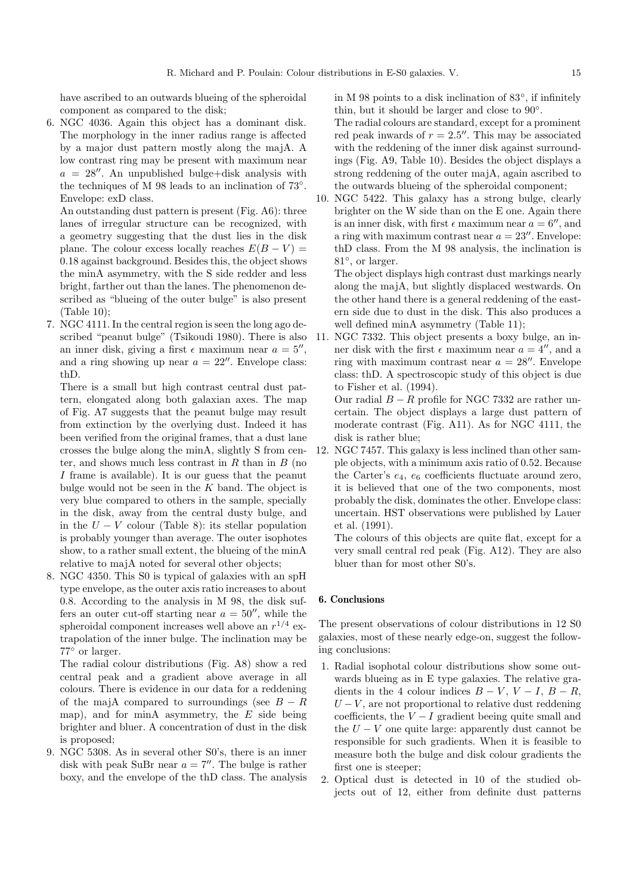have ascribed to an outwards blueing of the spheroidal component as compared to the disk;

6. NGC 4036. Again this object has a dominant disk. The morphology in the inner radius range is affected by a major dust pattern mostly along the majA. A low contrast ring may be present with maximum near  $a = 28''$ . An unpublished bulge+disk analysis with the techniques of M 98 leads to an inclination of 73◦. Envelope: exD class.

An outstanding dust pattern is present (Fig. A6): three lanes of irregular structure can be recognized, with a geometry suggesting that the dust lies in the disk plane. The colour excess locally reaches  $E(B - V) =$ 0.18 against background. Besides this, the object shows the minA asymmetry, with the S side redder and less bright, farther out than the lanes. The phenomenon described as "blueing of the outer bulge" is also present (Table 10);

7. NGC 4111. In the central region is seen the long ago described "peanut bulge" (Tsikoudi 1980). There is also an inner disk, giving a first  $\epsilon$  maximum near  $a = 5$ ", and a ring showing up near  $a = 22''$ . Envelope class: thD.

There is a small but high contrast central dust pattern, elongated along both galaxian axes. The map of Fig. A7 suggests that the peanut bulge may result from extinction by the overlying dust. Indeed it has been verified from the original frames, that a dust lane crosses the bulge along the minA, slightly S from center, and shows much less contrast in  $R$  than in  $B$  (no I frame is available). It is our guess that the peanut bulge would not be seen in the  $K$  band. The object is very blue compared to others in the sample, specially in the disk, away from the central dusty bulge, and in the  $U - V$  colour (Table 8): its stellar population is probably younger than average. The outer isophotes show, to a rather small extent, the blueing of the minA relative to majA noted for several other objects;

8. NGC 4350. This S0 is typical of galaxies with an spH type envelope, as the outer axis ratio increases to about 0.8. According to the analysis in M 98, the disk suffers an outer cut-off starting near  $a = 50''$ , while the spheroidal component increases well above an  $r^{1/4}$  extrapolation of the inner bulge. The inclination may be 77◦ or larger.

The radial colour distributions (Fig. A8) show a red central peak and a gradient above average in all colours. There is evidence in our data for a reddening of the majA compared to surroundings (see  $B - R$ map), and for minA asymmetry, the  $E$  side being brighter and bluer. A concentration of dust in the disk is proposed;

9. NGC 5308. As in several other S0's, there is an inner disk with peak SuBr near  $a = 7''$ . The bulge is rather boxy, and the envelope of the thD class. The analysis in M 98 points to a disk inclination of 83◦, if infinitely thin, but it should be larger and close to 90◦.

The radial colours are standard, except for a prominent red peak inwards of  $r = 2.5$ ". This may be associated with the reddening of the inner disk against surroundings (Fig. A9, Table 10). Besides the object displays a strong reddening of the outer majA, again ascribed to the outwards blueing of the spheroidal component;

10. NGC 5422. This galaxy has a strong bulge, clearly brighter on the W side than on the E one. Again there is an inner disk, with first  $\epsilon$  maximum near  $a = 6$ , and a ring with maximum contrast near  $a = 23''$ . Envelope: thD class. From the M 98 analysis, the inclination is 81◦, or larger.

The object displays high contrast dust markings nearly along the majA, but slightly displaced westwards. On the other hand there is a general reddening of the eastern side due to dust in the disk. This also produces a well defined minA asymmetry (Table 11);

11. NGC 7332. This object presents a boxy bulge, an inner disk with the first  $\epsilon$  maximum near  $a = 4$ , and a ring with maximum contrast near  $a = 28''$ . Envelope class: thD. A spectroscopic study of this object is due to Fisher et al. (1994).

Our radial  $B - R$  profile for NGC 7332 are rather uncertain. The object displays a large dust pattern of moderate contrast (Fig. A11). As for NGC 4111, the disk is rather blue;

12. NGC 7457. This galaxy is less inclined than other sample objects, with a minimum axis ratio of 0.52. Because the Carter's  $e_4$ ,  $e_6$  coefficients fluctuate around zero, it is believed that one of the two components, most probably the disk, dominates the other. Envelope class: uncertain. HST observations were published by Lauer et al. (1991).

The colours of this objects are quite flat, except for a very small central red peak (Fig. A12). They are also bluer than for most other S0's.

#### **6. Conclusions**

The present observations of colour distributions in 12 S0 galaxies, most of these nearly edge-on, suggest the following conclusions:

- 1. Radial isophotal colour distributions show some outwards blueing as in E type galaxies. The relative gradients in the 4 colour indices  $B - V$ ,  $V - I$ ,  $B - R$ ,  $U - V$ , are not proportional to relative dust reddening coefficients, the  $V - I$  gradient beeing quite small and the  $U - V$  one quite large: apparently dust cannot be responsible for such gradients. When it is feasible to measure both the bulge and disk colour gradients the first one is steeper;
- 2. Optical dust is detected in 10 of the studied objects out of 12, either from definite dust patterns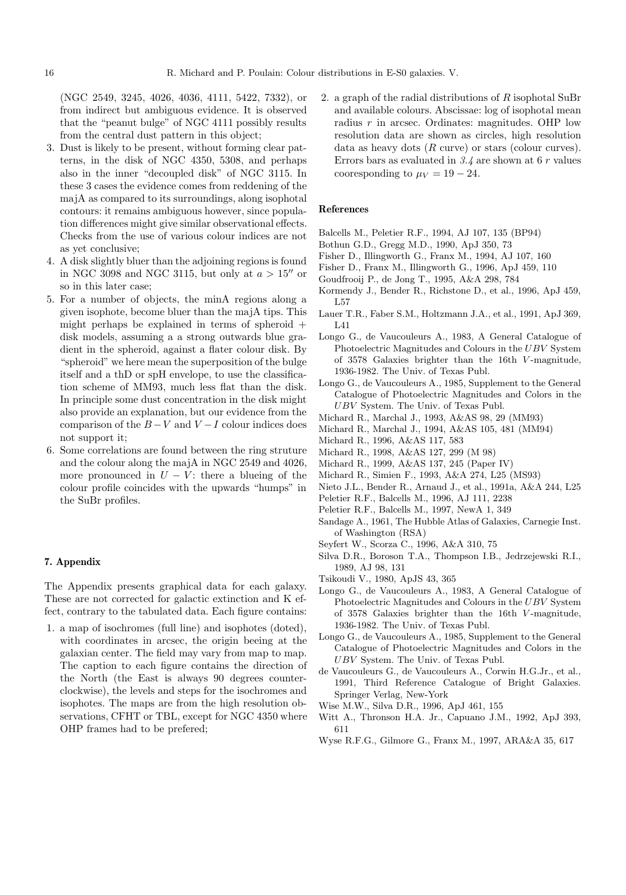(NGC 2549, 3245, 4026, 4036, 4111, 5422, 7332), or from indirect but ambiguous evidence. It is observed that the "peanut bulge" of NGC 4111 possibly results from the central dust pattern in this object;

- 3. Dust is likely to be present, without forming clear patterns, in the disk of NGC 4350, 5308, and perhaps also in the inner "decoupled disk" of NGC 3115. In these 3 cases the evidence comes from reddening of the majA as compared to its surroundings, along isophotal contours: it remains ambiguous however, since population differences might give similar observational effects. Checks from the use of various colour indices are not as yet conclusive;
- 4. A disk slightly bluer than the adjoining regions is found in NGC 3098 and NGC 3115, but only at  $a > 15$ <sup>"</sup> or so in this later case;
- 5. For a number of objects, the minA regions along a given isophote, become bluer than the majA tips. This might perhaps be explained in terms of spheroid  $+$ disk models, assuming a a strong outwards blue gradient in the spheroid, against a flater colour disk. By "spheroid" we here mean the superposition of the bulge itself and a thD or spH envelope, to use the classification scheme of MM93, much less flat than the disk. In principle some dust concentration in the disk might also provide an explanation, but our evidence from the comparison of the  $B-V$  and  $V-I$  colour indices does not support it;
- 6. Some correlations are found between the ring struture and the colour along the majA in NGC 2549 and 4026, more pronounced in  $U - V$ : there a blueing of the colour profile coincides with the upwards "humps" in the SuBr profiles.

# **7. Appendix**

The Appendix presents graphical data for each galaxy. These are not corrected for galactic extinction and K effect, contrary to the tabulated data. Each figure contains:

1. a map of isochromes (full line) and isophotes (doted), with coordinates in arcsec, the origin beeing at the galaxian center. The field may vary from map to map. The caption to each figure contains the direction of the North (the East is always 90 degrees counterclockwise), the levels and steps for the isochromes and isophotes. The maps are from the high resolution observations, CFHT or TBL, except for NGC 4350 where OHP frames had to be prefered;

2. a graph of the radial distributions of  $R$  isophotal SuBr and available colours. Abscissae: log of isophotal mean radius  $r$  in arcsec. Ordinates: magnitudes. OHP low resolution data are shown as circles, high resolution data as heavy dots  $(R \text{ curve})$  or stars (colour curves). Errors bars as evaluated in 3.4 are shown at 6 r values cooresponding to  $\mu_V = 19 - 24$ .

#### **References**

- Balcells M., Peletier R.F., 1994, AJ 107, 135 (BP94)
- Bothun G.D., Gregg M.D., 1990, ApJ 350, 73
- Fisher D., Illingworth G., Franx M., 1994, AJ 107, 160
- Fisher D., Franx M., Illingworth G., 1996, ApJ 459, 110
- Goudfrooij P., de Jong T., 1995, A&A 298, 784
- Kormendy J., Bender R., Richstone D., et al., 1996, ApJ 459, L57
- Lauer T.R., Faber S.M., Holtzmann J.A., et al., 1991, ApJ 369, L41
- Longo G., de Vaucouleurs A., 1983, A General Catalogue of Photoelectric Magnitudes and Colours in the UBV System of 3578 Galaxies brighter than the 16th V -magnitude, 1936-1982. The Univ. of Texas Publ.
- Longo G., de Vaucouleurs A., 1985, Supplement to the General Catalogue of Photoelectric Magnitudes and Colors in the UBV System. The Univ. of Texas Publ.
- Michard R., Marchal J., 1993, A&AS 98, 29 (MM93)
- Michard R., Marchal J., 1994, A&AS 105, 481 (MM94)
- Michard R., 1996, A&AS 117, 583
- Michard R., 1998, A&AS 127, 299 (M 98)
- Michard R., 1999, A&AS 137, 245 (Paper IV)
- Michard R., Simien F., 1993, A&A 274, L25 (MS93)
- Nieto J.L., Bender R., Arnaud J., et al., 1991a, A&A 244, L25
- Peletier R.F., Balcells M., 1996, AJ 111, 2238
- Peletier R.F., Balcells M., 1997, NewA 1, 349
- Sandage A., 1961, The Hubble Atlas of Galaxies, Carnegie Inst. of Washington (RSA)
- Seyfert W., Scorza C., 1996, A&A 310, 75
- Silva D.R., Boroson T.A., Thompson I.B., Jedrzejewski R.I., 1989, AJ 98, 131
- Tsikoudi V., 1980, ApJS 43, 365
- Longo G., de Vaucouleurs A., 1983, A General Catalogue of Photoelectric Magnitudes and Colours in the UBV System of 3578 Galaxies brighter than the 16th V -magnitude, 1936-1982. The Univ. of Texas Publ.
- Longo G., de Vaucouleurs A., 1985, Supplement to the General Catalogue of Photoelectric Magnitudes and Colors in the UBV System. The Univ. of Texas Publ.
- de Vaucouleurs G., de Vaucouleurs A., Corwin H.G.Jr., et al., 1991, Third Reference Catalogue of Bright Galaxies. Springer Verlag, New-York
- Wise M.W., Silva D.R., 1996, ApJ 461, 155
- Witt A., Thronson H.A. Jr., Capuano J.M., 1992, ApJ 393, 611
- Wyse R.F.G., Gilmore G., Franx M., 1997, ARA&A 35, 617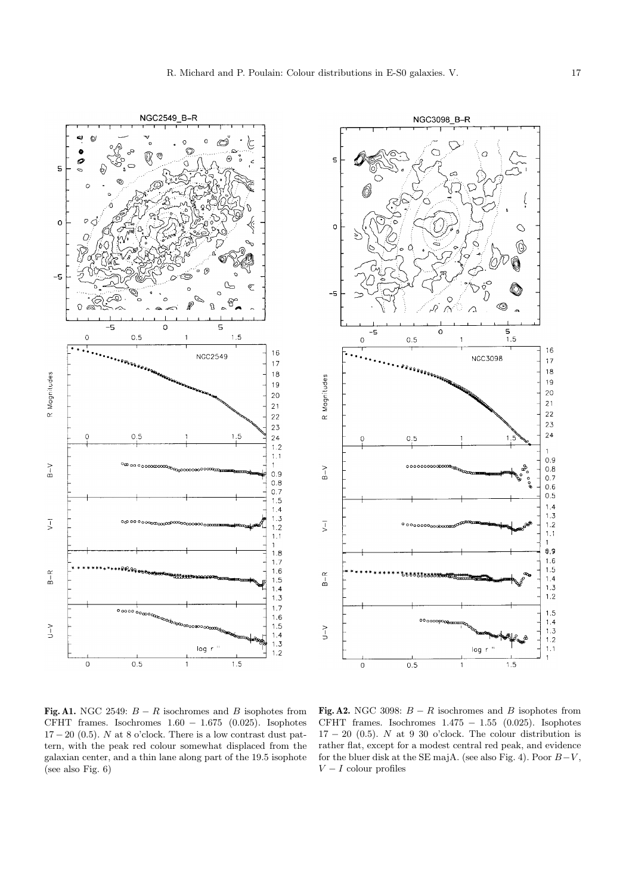



**Fig. A1.** NGC 2549:  $B - R$  isochromes and B isophotes from CFHT frames. Isochromes  $1.60 - 1.675$  (0.025). Isophotes  $17 - 20$  (0.5). N at 8 o'clock. There is a low contrast dust pattern, with the peak red colour somewhat displaced from the galaxian center, and a thin lane along part of the 19.5 isophote (see also Fig. 6)

**Fig. A2.** NGC 3098:  $B - R$  isochromes and B isophotes from CFHT frames. Isochromes  $1.475 - 1.55$  (0.025). Isophotes  $17 - 20$  (0.5). N at 9 30 o'clock. The colour distribution is rather flat, except for a modest central red peak, and evidence for the bluer disk at the SE majA. (see also Fig. 4). Poor  $B-V$ ,  $V - I$  colour profiles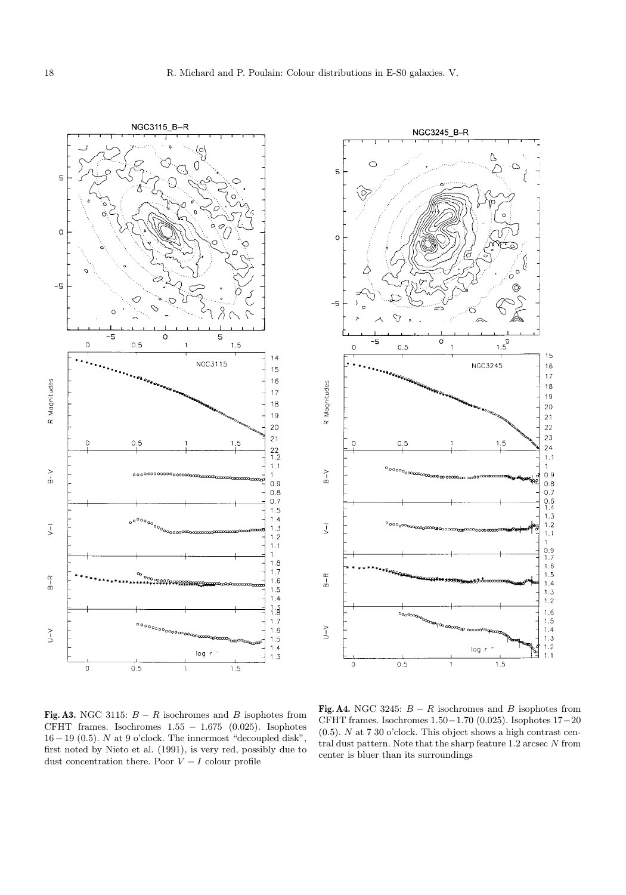



**Fig. A3.** NGC 3115:  $B - R$  isochromes and B isophotes from CFHT frames. Isochromes  $1.55 - 1.675$  (0.025). Isophotes  $16-19$  (0.5).  $N$  at  $9$  o'clock. The innermost "decoupled disk", first noted by Nieto et al. (1991), is very red, possibly due to dust concentration there. Poor  $V - I$  colour profile

**Fig. A4.** NGC 3245:  $B - R$  isochromes and B isophotes from CFHT frames. Isochromes 1.50−1.70 (0.025). Isophotes 17−20  $(0.5)$ . N at 7 30 o'clock. This object shows a high contrast central dust pattern. Note that the sharp feature 1.2 arcsec N from center is bluer than its surroundings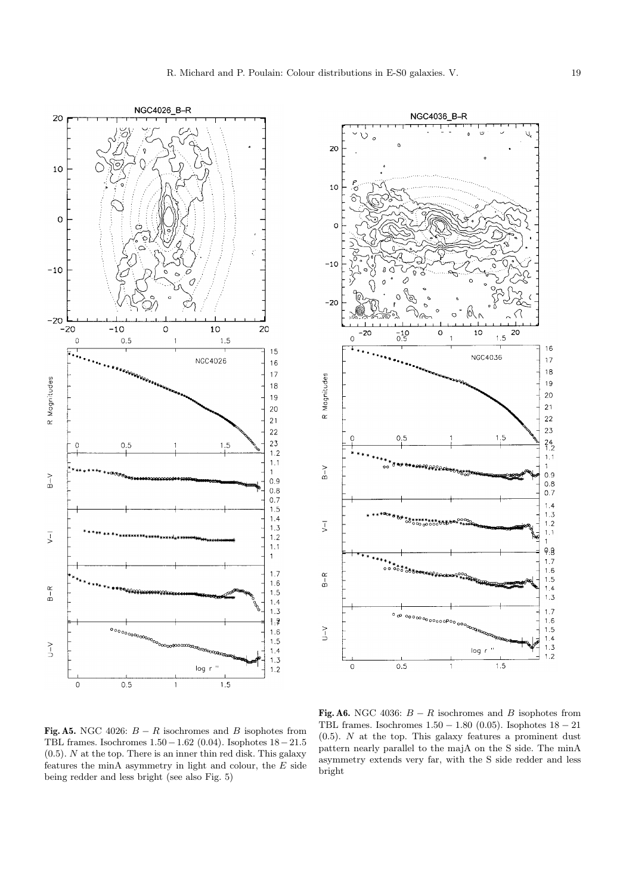



**Fig. A5.** NGC 4026:  $B - R$  isochromes and B isophotes from TBL frames. Isochromes 1.50−1.62 (0.04). Isophotes 18−21.5 (0.5). N at the top. There is an inner thin red disk. This galaxy features the minA asymmetry in light and colour, the  $E$  side being redder and less bright (see also Fig. 5)

**Fig. A6.** NGC 4036:  $B - R$  isochromes and B isophotes from TBL frames. Isochromes  $1.50 - 1.80$  (0.05). Isophotes  $18 - 21$  $(0.5)$ . N at the top. This galaxy features a prominent dust pattern nearly parallel to the majA on the S side. The minA asymmetry extends very far, with the S side redder and less bright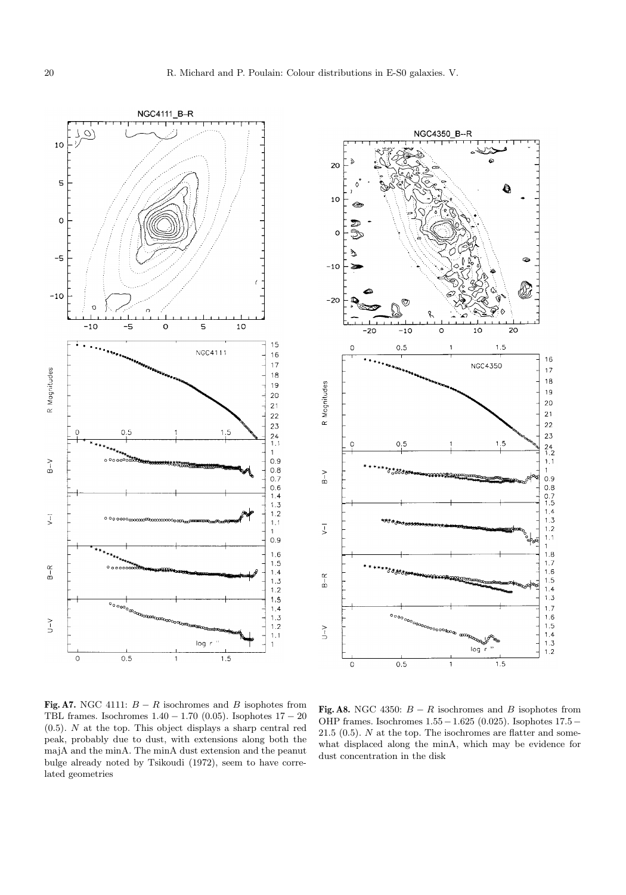NGC4111\_B-R  $\circ$ 10 5  $\circ$  $-5$  $-10$ d  $10$  $\circ$  $\mathsf S$  $-10$ -5 15 NGC4111  $16$  $17$ R Magnitudes  $18$  $19$ 20  $21$  $22$ 23  $1.5$  $0.5$  $\frac{24}{1.1}$  $\mathbf{1}$  $_{\rm B-V}$  $0.9$  $0.8$  $0.7$  $0.6$ <br> $1.4$ <br> $1.3$  $1.2$  $\overline{v}$  $1.1$  $\mathbf 1$  $0.9$  $1.6$  $1.5$  $\frac{\alpha}{\alpha}$  $0$  o o or  $1.4$  $1.3$  $1.2$  $1.5$  $\circ$   $\circ$  $1.4$  $1.3$  $\geq$  $1.2$  $1.1$ log  $\mathbf{1}$  $\circ$  $0.5$  $1.5\,$  $\mathbf{I}$ 



**Fig. A7.** NGC 4111:  $B - R$  isochromes and B isophotes from TBL frames. Isochromes  $1.40 - 1.70$  (0.05). Isophotes  $17 - 20$ (0.5). N at the top. This object displays a sharp central red peak, probably due to dust, with extensions along both the majA and the minA. The minA dust extension and the peanut bulge already noted by Tsikoudi (1972), seem to have correlated geometries

**Fig. A8.** NGC 4350:  $B - R$  isochromes and B isophotes from OHP frames. Isochromes 1.55−1.625 (0.025). Isophotes 17.5− 21.5 (0.5).  $N$  at the top. The isochromes are flatter and somewhat displaced along the minA, which may be evidence for dust concentration in the disk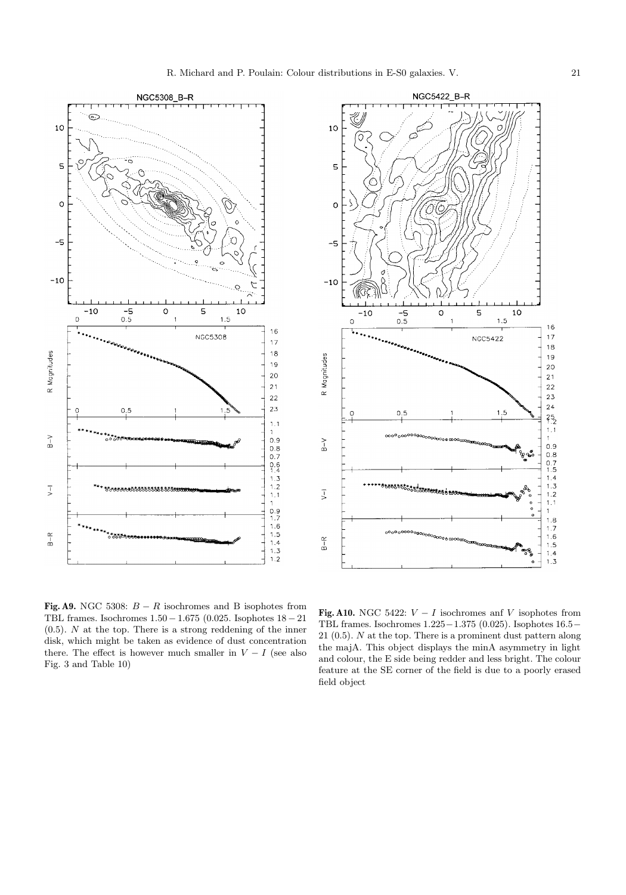



**Fig. A9.** NGC 5308:  $B - R$  isochromes and B isophotes from TBL frames. Isochromes 1.50− 1.675 (0.025. Isophotes 18− 21  $(0.5)$ . N at the top. There is a strong reddening of the inner disk, which might be taken as evidence of dust concentration there. The effect is however much smaller in  $V - I$  (see also Fig. 3 and Table 10)

**Fig. A10.** NGC 5422:  $V - I$  isochromes anf V isophotes from TBL frames. Isochromes 1.225−1.375 (0.025). Isophotes 16.5− 21 (0.5). N at the top. There is a prominent dust pattern along the majA. This object displays the minA asymmetry in light and colour, the E side being redder and less bright. The colour feature at the SE corner of the field is due to a poorly erased field object